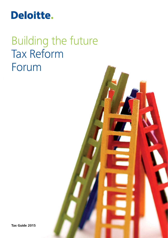## **Deloitte.**

## Building the future Tax Reform Forum

**Tax Guide 2015**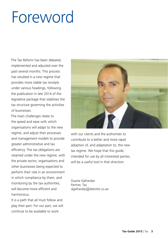## Foreword

The Tax Reform has been debated, implemented and adjusted over the past several months. This process has resulted in a new regime that provides more stable tax receipts under various headings, following the publication in late 2014 of the legislative package that stabilises the tax structure governing the activities of businesses.

The main challenges relate to the speed and ease with which organisations will adapt to the new regime, and adjust their processes and management models to provide greater administrative and tax efficiency. The tax obligations are retained under the new regime, with the private sector, organisations and other businesses being expected to perform their role in an environment in which compliance by them, and monitoring by the tax authorities, will become more efficient and harmonious.

It is a path that all must follow and play their part. For our part, we will continue to be available to work



with our clients and the authorities to contribute to a better and more rapid adoption of, and adaptation to, the new tax regime. We hope that this guide, intended for use by all interested parties, will be a useful tool in that direction.

Duarte Galhardas Partner, Tax dgalhardas@deloitte.co.ao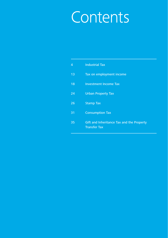# **Contents**

| 4  | <b>Industrial Tax</b>                                            |
|----|------------------------------------------------------------------|
| 13 | Tax on employment income                                         |
| 18 | <b>Investment Income Tax</b>                                     |
| 24 | <b>Urban Property Tax</b>                                        |
| 26 | <b>Stamp Tax</b>                                                 |
| 31 | <b>Consumption Tax</b>                                           |
| 35 | Gift and Inheritance Tax and the Property<br><b>Transfer Tax</b> |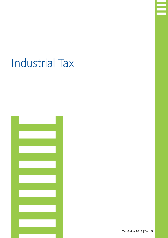## Industrial Tax

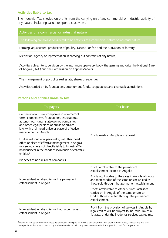## **Activities liable to tax**

The Industrial Tax is levied on profits from the carrying on of any commercial or industrial activity of any nature, including casual or sporadic activities.

## Activities of a commercial or industrial nature

Farming, aquaculture, production of poultry, livestock or fish and the cultivation of forestry;

Mediation, agency or representation in carrying out contracts of any nature;

Activities subject to supervision by the insurance supervisory body, the gaming authority, the National Bank of Angola (BNA ) and the Commission on Capital Markets;

The management of portfolios real estate, shares or securities;

Activities carried on by foundations, autonomous funds, cooperatives and charitable associations.

## **Persons and entities liable to tax**

| <b>Taxpayers</b>                                                                                                                                                                                                                                                        | <b>Tax base</b>                                                                                                                                                     |  |
|-------------------------------------------------------------------------------------------------------------------------------------------------------------------------------------------------------------------------------------------------------------------------|---------------------------------------------------------------------------------------------------------------------------------------------------------------------|--|
| Commercial and civil companies in commercial<br>form, cooperatives, foundations, associations,<br>autonomous funds, state-owned companies<br>and other legal persons of public or private<br>law, with their head office or place of effective<br>management in Angola. | Profits made in Angola and abroad.                                                                                                                                  |  |
| Entities without legal personality, with their head<br>office or place of effective management in Angola,<br>whose income is not directly liable to Industrial Tax<br>headquarters in the hands of individuals or collective<br>entities. <sup>1</sup>                  |                                                                                                                                                                     |  |
| Branches of non-resident companies.                                                                                                                                                                                                                                     |                                                                                                                                                                     |  |
|                                                                                                                                                                                                                                                                         | Profits attributable to the permanent<br>establishment located in Angola;                                                                                           |  |
| Non-resident legal entities with a permanent<br>establishment in Angola.                                                                                                                                                                                                | Profits attributable to the sales in Angola of goods<br>and merchandise of the same or similar kind as<br>those sold through that permanent establishment;          |  |
|                                                                                                                                                                                                                                                                         | Profits attributable to other business activities<br>carried on in Angola of the same or similar<br>kind as those effected through the permanent<br>establishment.  |  |
| Non-resident legal entities without a permanent<br>establishment in Angola.                                                                                                                                                                                             | Profit from the provision of services in Angola by<br>legal entities will be subject to Industrial Tax at a<br>flat rate, under the incidental services tax regime. |  |

1Including undistributed inheritances, legal entities in respect of which a declaration of invalidity has been made, associations and civil companies without legal personality and commercial or civil companies in commercial form, pending their final registration.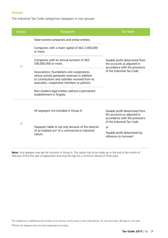## **Groups**

The Industrial Tax Code categorises taxpayers in two groups:

| Group | <b>Taxpayers</b>                                                                                                                                                                                | <b>Tax base</b>                                                                                                               |  |
|-------|-------------------------------------------------------------------------------------------------------------------------------------------------------------------------------------------------|-------------------------------------------------------------------------------------------------------------------------------|--|
| А     | State-owned companies and similar entities;                                                                                                                                                     | Taxable profit determined from<br>the accounts as adjusted in<br>accordance with the provisions                               |  |
|       | Companies with a share capital of AKZ 2,000,000<br>or more;                                                                                                                                     |                                                                                                                               |  |
|       | Companies with an annual turnover of AKZ<br>500,000,000 or more;                                                                                                                                |                                                                                                                               |  |
|       | Associations, foundations and cooperatives,<br>whose activity generates revenues in addition<br>to contributions and subsidies received from its<br>associates, cooperative members or patrons; | of the Industrial Tax Code                                                                                                    |  |
|       | Non-resident legal entities without a permanent<br>establishment in Angola;                                                                                                                     |                                                                                                                               |  |
|       |                                                                                                                                                                                                 |                                                                                                                               |  |
| B     | All taxpayers not included in Group A;                                                                                                                                                          | Taxable profit determined from<br>the accounts as adjusted in<br>accordance with the provisions<br>of the Industrial Tax Code |  |
|       | Taxpayers liable to tax only because of the exercise<br>of an isolated act <sup>3</sup> of a commercial or industrial<br>nature.                                                                | or<br>Taxable profit determined by<br>reference to turnover <sup>2</sup> .                                                    |  |

**Note:** Any taxpayer may opt for inclusion in Group A. This option has to be made up to the end of the month of February of the first year of application and must be kept for a minimum period of three years.

<sup>2</sup>An isolated act is defined as the conduct of an activity, continuously or with interruptions, for not more than 180 days in a tax year.

<sup>3</sup>Where the taxpayer does not have organised accounting.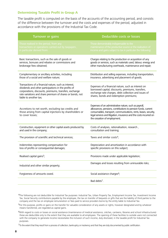## **Determining Taxable Profit in Group A**

The taxable profit is computed on the basis of the accounts of the accounting period, and consists of the difference between the turnover and the costs and expenses of the period, adjusted in accordance with the provisions of the Industrial Tax Code.

| Turnover or gains                                                                                                                                                                                                                                              | Deductible costs or losses                                                                                                                                                                                                                                                                        |
|----------------------------------------------------------------------------------------------------------------------------------------------------------------------------------------------------------------------------------------------------------------|---------------------------------------------------------------------------------------------------------------------------------------------------------------------------------------------------------------------------------------------------------------------------------------------------|
| Those realised in the period, from any<br>transactions or operations carried out by taxpayers,<br>in particular derived from:                                                                                                                                  | Those demonstrably indispensable to the<br>maintenance of the productive source or the realisation of<br>income and gains subject to tax in particular the following:                                                                                                                             |
| Basic transactions, such as the sale of goods or<br>services, bonuses and rebates or commissions and<br>brokerage fees obtained;                                                                                                                               | Charges relating to the production or acquisition of any<br>goods or services, such as materials used, labour, energy and<br>other manufacturing overheads, maintenance and repair;                                                                                                               |
| Complementary or ancillary activities, including<br>those of a social and welfare nature:                                                                                                                                                                      | Distribution and selling expenses, including transportation,<br>insurance, advertising and placement of goods;                                                                                                                                                                                    |
| Transactions of a financial nature, such as interest,<br>dividends and other participations in the profits of<br>corporations, discounts, premiums, transfers, exchange<br>rate variations and share premium of shares or bonds, not<br>liable to another tax: | Expenses of a financial nature, such as interest on<br>borrowed capital, discounts, premiums, transfers,<br>exchange rate charges, debt collection and issues of<br>shares, bonds and redemption premiums;                                                                                        |
| Accretions to net worth, excluding tax credits and<br>those arising from capital injections by shareholders or<br>to cover losses:                                                                                                                             | Expenses of an administrative nature, such as payroll,<br>allowances, pensions, contributions to pension funds, current<br>consumables, transport, communications, rents, leases, security,<br>legal services and litigation, insurance and the costs incurred on<br>the cessation of employment; |
| Construction, equipment or other capital assets produced by<br>and used in the company;                                                                                                                                                                        | Costs of analyses, rationalisation, research,<br>consultation and training;                                                                                                                                                                                                                       |
| The provision of scientific and technical services;                                                                                                                                                                                                            | Taxes and similar costs <sup>4</sup> ;                                                                                                                                                                                                                                                            |
| Indemnities representing compensation for<br>loss of profits or consequential damages;                                                                                                                                                                         | Depreciation and amortization in accordance with<br>specific provisions on this subject;                                                                                                                                                                                                          |
| Realised capital gains <sup>5</sup> ;                                                                                                                                                                                                                          | Provisions made under applicable legislation;                                                                                                                                                                                                                                                     |
| Industrial and other similar property;                                                                                                                                                                                                                         | Damages and losses resulting from uninsurable risks;                                                                                                                                                                                                                                              |
| Forgiveness of amounts owed.                                                                                                                                                                                                                                   | Social assistance charges <sup>6</sup> ;                                                                                                                                                                                                                                                          |
|                                                                                                                                                                                                                                                                | Bad debts <sup>7</sup> .                                                                                                                                                                                                                                                                          |

<sup>4</sup>The following are not deductible for Industrial Tax purposes: Industrial Tax, Urban Property Tax, Employment Income Tax, Investment Income Tax, Social Security contributions payable by the employee, the tax on transfer of bequests or gifts that are the liability of third parties to the company and the tax on employee remuneration or fees paid to service providers borne by the entity liable to Industrial Tax.

<sup>5</sup>For this purpose, profits or gains on the transfer for valuable consideration of any assets or rights, however designated and by whatever means transferred, are regarded as capital gains.

<sup>6</sup>With regard to costs or losses on social assistance (maintenance of medical assistance, crèches, canteens, libraries and school infrastructures) these are deductible only to the extent that they are available to all employees. The opening of these facilities to outside users not connected with the company to generate income necessitates the inclusion of such income, duly disclosed, in the taxable profit for Industrial Tax purposes.

<sup>7</sup>To the extent that they result from a process of collection, bankruptcy or insolvency and that they are duly documented by public certification.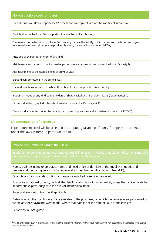### Non-deductible costs or losses

The Industrial Tax , Urban Property Tax (IPU) the tax on employment income, the investment income tax;

Contributions to the Social Security portion that are the worker's burden;

The transfer tax on bequests or gifts to the company that are the liability of third parties and the tax on employee remuneration or fees paid to service providers borne by the entity liable to Industrial Tax;

Fines and all charges for offences of any kind;

Maintenance and repair costs of immovable property treated as costs in computing the Urban Property Tax;

Any adjustments to the taxable profits of previous years;

Extraordinary corrections in the current year;

Life and health insurance costs where these benefits are not provided to all employees;

Interest on loans of any kind by the holders of share capital or shareholders' loans ("suprimentos");

Gifts and donations granted in breach of rules laid down in the Patronage Act<sup>8</sup>;

Costs not documented under the legal system governing Invoices and equivalent documents ("RJFDE").

### **Documentation of expenses**

Expenditure incurred will be accepted in computing taxable profit only if properly documented under the laws in force, in particular, the RJFDE.

### Invoice requirements under the RJFDE

Name, business name or corporate name and head office or domicile of the supplier of goods and services and the consignee or purchaser, as well as their tax identification numbers (NIF);

Quantity and common description of the goods supplied or services rendered;

Final price in national currency, with all the detail showing how it was arrived at, unless the invoices relate to imports and exports, subject to the rules of international trade;

Rates and amount of tax due, if applicable;

Date on which the goods were made available to the purchaser, on which the services were performed or where advance payments were made, where that date is not the date of issue of the invoice;

Be written in Portuguese.

8Any gift or donation given in or after 2017 in breach of the rules of the Patronage Act will result not only in the non-deductibility of the related costs, but will also incur a levy of 15%.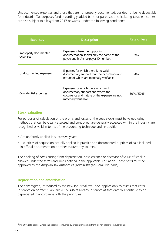Undocumented expenses and those that are not properly documented, besides not being deductible for Industrial Tax purposes (and accordingly added back for purposes of calculating taxable income), are also subject to a levy from 2017 onwards, under the following conditions:

| <b>Expenses</b>                   | <b>Description</b>                                                                                                                                  | Rate of levy |
|-----------------------------------|-----------------------------------------------------------------------------------------------------------------------------------------------------|--------------|
| Improperly documented<br>expenses | Expenses where the supporting<br>documentation shows only the name of the<br>payee and his/its taxpayer ID number.                                  | 2%           |
| Undocumented expenses             | Expenses for which there is no valid<br>documentary support, but the occurrence and<br>nature of which are materially verifiable.                   | 4%           |
| Confidential expenses             | Expenses for which there is no valid<br>documentary support and where the<br>occurrence and nature of the expense are not<br>materially verifiable. | 30% / 50%    |

## **Stock valuation**

For purposes of calculation of the profits and losses of the year, stocks must be valued using methods that can be clearly assessed and controlled, are generally accepted within the industry, are recognised as valid in terms of the accounting technique and, in addition:

- Are uniformly applied in successive years;
- Use prices of acquisition actually applied in practice and documented or prices of sale included in official documentation or other trustworthy sources.

The booking of costs arising from depreciation, obsolescence or decrease of value of stock is allowed under the terms and limits defined in the applicable legislation. These costs must be approved by the Angolan Tax Authorities (Administração Geral Tributária).

## **Depreciation and amortisation**

The new regime, introduced by the new Industrial tax Code, applies only to assets that enter in service on or after 1 january 2015. Assets already in service at that date will continue to be depreciated in accordance with the prior rules.

<sup>&</sup>lt;sup>9</sup>The 50% rate applies where the expense is incurred by a taxpayer exempt from, or not liable to, Industrial Tax.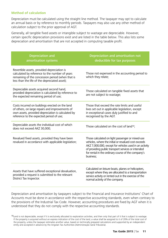## **Method of calculation**

Depreciation must be calculated using the straight line method. The taxpayer may opt to calculate an annual basis or by reference to monthly periods. Taxpayers may also use any other method of calculation subject to the prior approval of AGT.

Generally, all tangible fixed assets or intangible subject to wastage are depreciable. However, certain specific depreciation provisions exist and are listed in the table below. This also lists some depreciation and amortisation that are not accepted in computing taxable profit.

| <b>Depreciation and</b><br>amortisation systems                                                                                                                                                      | Depreciation and amortisation not<br>deductible for tax purposes                                                                                                                                                                                                                            |
|------------------------------------------------------------------------------------------------------------------------------------------------------------------------------------------------------|---------------------------------------------------------------------------------------------------------------------------------------------------------------------------------------------------------------------------------------------------------------------------------------------|
| Revertible assets, provided depreciation is<br>calculated by reference to the number of years<br>remaining of the concession period (when that is<br>less than the life of the depreciated asset);   | Those not expensed in the accounting period to<br>which they relate;                                                                                                                                                                                                                        |
| Depreciable assets acquired second hand,<br>provided depreciation is calculated by reference to<br>the expected remaining period of use;                                                             | Those calculated on tangible fixed assets that<br>are not subject to wastage;                                                                                                                                                                                                               |
| Costs incurred on buildings erected on the land<br>of others, on large repairs and improvements of<br>own assets, provided depreciation is calculated by<br>reference to the expected period of use; | Those that exceed the rate limits and useful<br>lives set out in applicable legislation, except<br>in exceptional cases duly justified to and<br>recognised by the AGT.                                                                                                                     |
| Depreciable assets the individual cost of which<br>does not exceed AKZ 30,000;                                                                                                                       | Those calculated on the cost of land <sup>10</sup> ;                                                                                                                                                                                                                                        |
| Revalued fixed assets, provided they have been<br>revalued in accordance with applicable legislation;                                                                                                | Those calculated on light passenger or mixed-use<br>vehicles, where the initial or revalued cost exceeds<br>AKZ 7,000,000, except for vehicles used in an activity<br>of providing public transport services or intended<br>for rental in the ordinary course of the company's<br>business: |
| Assets that have suffered exceptional devaluation,<br>provided a request is submitted to the relevant<br>District Tax Inspector.                                                                     | Calculated on leisure boats, planes or helicopters,<br>except where they are allocated to a transportation<br>service activity or rented out in the exercise of the<br>normal activity of the company.                                                                                      |

Depreciation and amortisation by taxpayers subject to the Financial and Insurance Institutions' Chart of Accounts must be done in accordance with the respective accounting standards, even when contrary to the provisions of the Industrial Tax Code. However, accounting procedures are fixed by AGT when it is understood that they do not comply with the respective accounting standards.

<sup>10</sup>Land is not depreciable, except if it is exclusively allocated to exploration activities, and then only that part of it that is subject to wastage. If the property is acquired without an express indication of the cost of the land, a value shall be assigned to it of 20% of the total cost of the property, unless the taxpayer estimates another value, based on technically prepared calculations and supported by an independent entity and accepted in advance by the Angolan Tax Authorities (Administração Geral Tributária).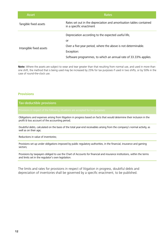| Asset                   | Rates                                                                                          |
|-------------------------|------------------------------------------------------------------------------------------------|
| Tangible fixed assets   | Rates set out in the depreciation and amortisation tables contained<br>in a specific enactment |
|                         | Depreciation according to the expected useful life.                                            |
|                         | or                                                                                             |
| Intangible fixed assets | Over a five-year period, where the above is not determinable.                                  |
|                         | Exception:                                                                                     |
|                         | Software programmes, to which an annual rate of 33.33% applies.                                |

**Note:** Where the assets are subject to wear and tear greater than that resulting from normal use, and used in more than one shift, the method that is being used may be increased by 25% for tax purposes if used in two shifts, or by 50% in the case of round-the-clock use.

## **Provisions**

Tax-deductible provisions

Obligations and expenses arising from litigation in progress based on facts that would determine their inclusion in the profit & loss account of the accounting period;

Doubtful debts, calculated on the basis of the total year-end receivables arising from the company's normal activity, as well as on their age;

Reductions in value of inventories;

Provisions set up under obligations imposed by public regulatory authorities, in the financial, insurance and gaming sectors;

Provisions by taxpayers obliged to use the Chart of Accounts for financial and insurance institutions, within the terms and limits set in the regulator's own legislation.

The limits and rates for provisions in respect of litigation in progress, doubtful debts and depreciation of inventories shall be governed by a specific enactment, to be published.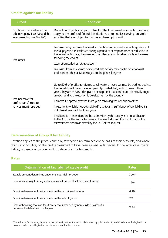## **Credits against tax liability**

| <b>Credit</b>                                                                                      | <b>Conditions</b>                                                                                                                                                                                                                                                                                                         |
|----------------------------------------------------------------------------------------------------|---------------------------------------------------------------------------------------------------------------------------------------------------------------------------------------------------------------------------------------------------------------------------------------------------------------------------|
| Profits and gains liable to the<br>Urban Property Tax (IPU) and the<br>Investment Income Tax (IAC) | Deduction of profits or gains subject to the Investment Income Tax does not<br>apply to the profits of financial institutions, or to entities carrying ion similar<br>activities that are subject to that tax and exempt from it.                                                                                         |
| Tax losses                                                                                         | Tax losses may be carried forward to the three subsequent accounting periods. If<br>the taxpayer incurs tax losses during a period of exemption from or reduction in<br>the Industrial Tax rate, they may not be offset against taxable profits in the years<br>following the end of                                      |
|                                                                                                    | exemption period or rate reduction;                                                                                                                                                                                                                                                                                       |
|                                                                                                    | Tax losses from an exempt or reduced-rate activity may not be offset against<br>profits from other activities subject to the general regime.                                                                                                                                                                              |
|                                                                                                    | Up to 50% of profits transferred to reinvestment reserves may be credited against<br>the tax liability of the accounting period provided that, within the next three<br>years, they are reinvested in plant or equipment that contribute, objectively, to job<br>creation and to the economic development of the country; |
| Tax incentive for<br>profits transferred to                                                        | This credit is spread over the three years following the conclusion of the                                                                                                                                                                                                                                                |
| reinvestment reserves                                                                              | investment, which is not extendable if, due to an insufficiency of tax liability, it is<br>not utilised in any of the three years;                                                                                                                                                                                        |
|                                                                                                    | This benefit is dependent on the submission by the taxpayer of an application<br>to the AGT by the end of February in the year following the conclusion of the<br>reinvestment and to approval by the AGT of the request.                                                                                                 |

## **Determination of Group B tax liability**

Taxation applies to the profits earned by taxpayers as determined on the basis of their accounts, and where that is not possible, on the profits presumed to have been earned by taxpayers. In the latter case, the tax liability is based on turnover, with no deductions or tax credits.

## **Rates**

| Determination of tax liability/taxable profit                                                                          | Rates |
|------------------------------------------------------------------------------------------------------------------------|-------|
| Taxable amount determined under the Industrial Tax Code                                                                | 30%11 |
| Income exclusively from agriculture, aguaculture, poultry, fishing and forestry                                        | 15%   |
| Provisional assessment on income from the provision of services                                                        | 6.5%  |
| Provisional assessment on income from the sale of goods                                                                | 2%    |
| Final withholding taxes on fees from services provided by non-residents without a<br>permanent establishment in Angola | 6.5%  |

11The Industrial Tax rate may be reduced for private investment projects duly licensed by public authority as defined under the legislation in force or under special legislation function approved for this purpose.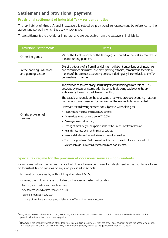## **Settlement and provisional payment**

## **Provisional settlement of Industrial Tax – resident entities**

The tax liability of Group A and B taxpayers is settled by provisional self-assessment by reference to the accounting period in which the activity took place.

These settlements are provisional in nature, and are deductible from the taxpayer's final liability.

| <b>Provisional settlements</b>                  | Rates                                                                                                                                                                                                                                                                            |
|-------------------------------------------------|----------------------------------------------------------------------------------------------------------------------------------------------------------------------------------------------------------------------------------------------------------------------------------|
| On selling goods                                | 2% of the total turnover of the taxpayer, computed in the first six months of<br>the accounting period <sup>12</sup> .                                                                                                                                                           |
| In the banking, insurance<br>and gaming sectors | 2% of the total profits from financial intermediation transactions or of insurance<br>and reinsurance premiums and from gaming activities, computed in the first six<br>months of the previous accounting period, excluding any income liable to the Tax<br>on Investment Income |
|                                                 | The provision of services of any kind is subject to withholding tax at a rate of 6.5%,<br>deducted by payers of income, with the tax withheld being paid over to the tax<br>authorities by the end of the following month $13$ ;                                                 |
|                                                 | The taxable amount is be the total value of services provided excluding materials,<br>parts or equipment needed for provision of the service, fully documented;                                                                                                                  |
|                                                 | However, the following services not subject to withholding tax:                                                                                                                                                                                                                  |
|                                                 | • Teaching and medical and healthcare services;                                                                                                                                                                                                                                  |
| On the provision of<br>services                 | • Any services valued at less than AKZ 20,000;                                                                                                                                                                                                                                   |
|                                                 | • Passenger transport services;                                                                                                                                                                                                                                                  |
|                                                 | • Leasing of machinery or equipment liable to the Tax on Investment Income                                                                                                                                                                                                       |
|                                                 | Financial intermediation and insurance services:<br>٠                                                                                                                                                                                                                            |
|                                                 | • Hotel and similar services and telecommunications services;                                                                                                                                                                                                                    |
|                                                 | • The re-charge of costs (with no mark-up), between related entities, as defined in the                                                                                                                                                                                          |
|                                                 | Statute of Large Taxpayers duly evidenced and documented.                                                                                                                                                                                                                        |

## **Special tax regime for the provision of occasional services – non-residents**

Companies with a foreign head office that do not have a permanent establishment in the country are liable to Industrial Tax on services of any kind provided in Angola.

This taxation operates by withholding at a rate of 6.5%.

However, the following are not liable to this special system of taxation:

- Teaching and medical and health services;
- Any services valued at less than AKZ 2,000;
- Passenger transport services;
- Leasing of machinery or equipment liable to the Tax on Investment Income.

<sup>12</sup>Any excess provisional settlements, duly evidenced, made in any of the previous five accounting periods may be deducted from the provisional settlement of the accounting period.

<sup>&</sup>lt;sup>13</sup>However, if the final determination of the Industrial Tax results in a liability less than the provisional payment during the accounting period. that credit shall be set off against the liability of subsequent periods, subject to the general limitation of five years.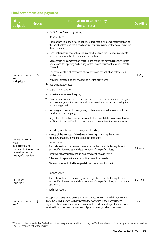## **Final settlement and payment**

| Filing                                    |       | Information to accompany                                                                                                                                                                                                                                                                                                  | <b>Deadline</b> |
|-------------------------------------------|-------|---------------------------------------------------------------------------------------------------------------------------------------------------------------------------------------------------------------------------------------------------------------------------------------------------------------------------|-----------------|
| obligation                                | Group | the tax return                                                                                                                                                                                                                                                                                                            |                 |
|                                           |       | • Profit & Loss Account by nature;                                                                                                                                                                                                                                                                                        |                 |
|                                           |       | • Balance Sheet;                                                                                                                                                                                                                                                                                                          |                 |
|                                           |       | • Trial balance from the detailed general ledger before and after determination of<br>the profit or loss, and the related appendices, duly signed by the accountant for<br>their preparation;                                                                                                                             |                 |
|                                           |       | • Technical report in which the accountant who signed the financial statements<br>and the tax return should comment succinctly on:                                                                                                                                                                                        |                 |
|                                           |       | i. Depreciation and amortisation charged, indicating the methods used, the rates<br>applied and the opening and closing written-down values of the various assets<br>involved:                                                                                                                                            |                 |
| Tax Return Form                           | А     | ii. The movements in all categories of inventory and the valuation criteria used in<br>relation to it:                                                                                                                                                                                                                    | 31 May          |
| No.1<br>In duplicate                      |       | iii. Provisions created and any changes to existing provisions;                                                                                                                                                                                                                                                           |                 |
|                                           |       | iv. Bad debts experienced;                                                                                                                                                                                                                                                                                                |                 |
|                                           |       | V. Capital gains realised;                                                                                                                                                                                                                                                                                                |                 |
|                                           |       | vi. Accretions to net worth/equity;                                                                                                                                                                                                                                                                                       |                 |
|                                           |       | Vii. General administration costs, with special reference to remuneration of all types<br>paid to management, as well as to all representation expenses paid during the<br>accounting period;                                                                                                                             |                 |
|                                           |       | viii. ny changes in policies for recognising costs or revenues in the various activities or<br>locations of the company;                                                                                                                                                                                                  |                 |
|                                           |       | ix. Any other information deemed relevant to the correct determination of taxable<br>profit and to the clarification of the financial statements or their components.                                                                                                                                                     |                 |
|                                           | A     | • Report by members of the management bodies;                                                                                                                                                                                                                                                                             |                 |
| Tax Return Form                           |       | • A copy of the minutes of the General Meeting approving the annual<br>accounts, or a document approving the accounts;                                                                                                                                                                                                    |                 |
| No.1                                      |       | • Balance Sheet:                                                                                                                                                                                                                                                                                                          |                 |
| In duplicate and<br>documentation to      |       | • Trial balance from the detailed general ledger before and after regularisation<br>and rectification entries and determination of the profit or loss;                                                                                                                                                                    | 31 May          |
| be retained at the<br>taxpayer's premises |       | • Profit & Loss account by nature and statement of cash flows;                                                                                                                                                                                                                                                            |                 |
|                                           |       | • Schedule of depreciation and amortisation of fixed assets;                                                                                                                                                                                                                                                              |                 |
|                                           |       | • General statement of all taxes paid during the accounting period.                                                                                                                                                                                                                                                       |                 |
|                                           | B     | • Balance Sheet:                                                                                                                                                                                                                                                                                                          |                 |
| <b>Tax Return</b><br>Form No.1            |       | • Trial balance from the detailed general ledger before and after regularisation<br>and rectification entries and determination of the profit or loss, and the related<br>appendices,                                                                                                                                     | 30 April        |
|                                           |       | • Technical report.                                                                                                                                                                                                                                                                                                       |                 |
| Tax Return Form<br>No.2                   | B     | Group B taxpayers who do not have proper accounting should file Tax Return<br>Form No.2 in duplicate, with respect to their activities in the previous year,<br>signed by their accountant, which permits a full understanding of the amounts<br>received from sales and services and of purchases of goods and services. | (14)            |

14The text of the Industrial Tax Code does not expressly state a deadline for filing the Tax Return Form No.2, although it does set a deadline of April 30 for payment of the liability.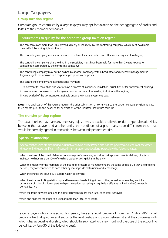## **Large Taxpayers**

## **Group taxation regime**

Corporate groups controlled by a large taxpayer may opt for taxation on the net aggregate of profits and losses of their member companies.

### Requirements to qualify for the corporate group taxation regime

The companies are more than 90% owned, directly or indirectly, by the controlling company, which must hold more than half of the voting rights in them;

The controlling company and its subsidiaries must have their head office and effective management in Angola;

The controlling company's shareholding in the subsidiary must have been held for more than 2 years (except for companies incorporated by the controlling company);

The controlling company may not be owned by another company, with a head office and effective management in Angola, eligible for inclusion in a corporate group for tax purposes;

The controlling company and its subsidiaries may not:

- i. Be dormant for more than one year or have a process of insolvency, liquidation, dissolution or tax enforcement pending;
- ii. Have incurred tax losses in the two years prior to the date of requesting inclusion in the regime;

iii.Have availed of the tax incentives available under the Private Investment Law.

**Note:** The application of this regime requires the prior submission of Form No.5 to the Large Taxpayers Division at least three month prior to the deadline for submission of the Industrial Tax return form No.1.

## **The transfer pricing regime**

The tax authorities may make any necessary adjustments to taxable profit where, due to special relationships between the taxpayer and another entity, the conditions of a given transaction differ from those that would be normally agreed in transactions between independent entities.

Special relationships

When members of the board of directors or managers of a company, as well as their spouses, parents, children, directly or indirectly hold not less than 10% of the share capital or voting rights in the entity;

When the majority of the members of the board of directors or management are the same people or, if they are different persons, they are connected to each other by marriage, de facto union or direct lineage;

When the entities are bound by a subordination agreement;

When they in a controlling relationship and have cross-shareholdings in each other, as well as where they are linked by contract of subordination or partnership or a relationship having an equivalent effect as defined in the Commercial Companies Act;

When the trade between one and the other represents more than 80% of its total turnover:

When one finances the other to a level of more than 80% of its loans.

Large Taxpayers who, in any accounting period, have an annual turnover of more than 7 billion AKZ should prepare a file that specifies and supports the relationships and prices between it and the companies with which it has a special relationship, which should be submitted within six months of the close of the accounting period (i.e. by June 30 of the following year).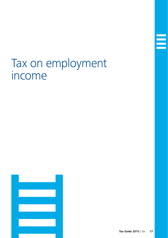## Tax on employment income



**Tax Guide 2015** | Tax **17**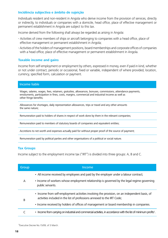## **Incidência subjectiva e âmbito de sujeição**

Individuals resident and non-resident in Angola who derive income from the provision of services, directly or indirectly, to individuals or companies with a domicile, head office, place of effective management or permanent establishment in Angola are subject to this tax.

Income derived from the following shall always be regarded as arising in Angola:

- Activities of crew members of ships or aircraft belonging to companies with a head office, place of effective management or permanent establishment in Angola;
- Activities of the holders of management positions, board memberships and corporate offices of companies with a head office, place of effective management or permanent establishment in Angola.

## **Taxable income and gains**

Income from self-employment or employment by others, expressed in money, even if paid in kind, whether or not under contract, periodic or occasional, fixed or variable, independent of where provided, location, currency, specified form, calculation or payment.

## Income liable

Wages, salaries, wages, fees, retainers, gratuities, allowances, bonuses, commissions, attendance payments, emoluments, participation in fines, costs, margins, commercial and industrial income as well as other fringe benefits;

Allowances for shortages, daily representation allowances, trips or travel and any other amounts the same nature;

Remuneration paid to holders of shares in respect of work done by them in the relevant companies;

Remuneration paid to members of statutory boards of companies and equivalent entities;

Accretions to net worth and expenses actually paid for without proper proof of the source of payment;

Remuneration paid by political parties and other organisations of a political or social nature.

## **Tax Groups**

Income subject to the employment income tax ("IRT") is divided into three groups: A, B and C.

| Group | Income                                                                                                                                                                   |
|-------|--------------------------------------------------------------------------------------------------------------------------------------------------------------------------|
|       | • All income received by employees and paid by the employer under a labour contract;                                                                                     |
| A     | • Income of workers whose employment relationship is governed by the legal regime governing<br>public servants.                                                          |
| B     | • Income from self-employment activities involving the provision, on an independent basis, of<br>activities included in the list of professions annexed to the IRT Code; |
|       | • Income received by holders of offices of management or board membership in companies.                                                                                  |
|       | • Income from carrying on industrial and commercial activities, in accordance with the list of minimum profits <sup>1</sup> .                                            |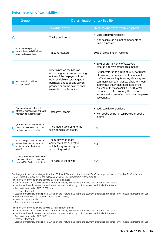## **Determination of tax liability**

|  | Group                                                                                                       | Determination of tax liability                                                                                                                                                                                                                |                                                                                                                                                                                                                                                                                                                                                                                                                                                                                |
|--|-------------------------------------------------------------------------------------------------------------|-----------------------------------------------------------------------------------------------------------------------------------------------------------------------------------------------------------------------------------------------|--------------------------------------------------------------------------------------------------------------------------------------------------------------------------------------------------------------------------------------------------------------------------------------------------------------------------------------------------------------------------------------------------------------------------------------------------------------------------------|
|  |                                                                                                             | <b>Taxable profit</b>                                                                                                                                                                                                                         | Deductions from taxable profit                                                                                                                                                                                                                                                                                                                                                                                                                                                 |
|  | А                                                                                                           | Total gross income                                                                                                                                                                                                                            | · Social security contributions;<br>• Non-taxable or exempt components of<br>taxable income                                                                                                                                                                                                                                                                                                                                                                                    |
|  | (remuneration paid by<br>companies or individuals with<br>R<br>organised accounting)                        | Amount received                                                                                                                                                                                                                               | 30% of gross amount received                                                                                                                                                                                                                                                                                                                                                                                                                                                   |
|  | (remuneration paid by<br>other persons))                                                                    | Determined on the basis of<br>accounting records or accounting<br>entries of the taxpayer or from<br>other available records regarding<br>purchases and sales and services<br>provided or on the basis of data<br>available to the tax office | • 30% of gross income of taxpayers<br>who do not have proper accounting;<br>• Actual costs, up to a limit of 30%, for rental<br>of premises, remuneration of permanent<br>staff (not exceeding 3), water, electricity and<br>communications, insurance, laboratory work<br>in premises other than those used in the<br>exercise of the taxpayer's business, other<br>essential costs for ensuring the flow of<br>income in the case of taxpayers with organised<br>accounting. |
|  | (remuneration of holders of<br>offices of management or board<br>R<br>membership in companies)              | Total gross income                                                                                                                                                                                                                            | · Social security contributions;<br>• Non-taxable or exempt components of taxable<br>income                                                                                                                                                                                                                                                                                                                                                                                    |
|  | (turnover less than 4 times the<br>minimum value set out in the<br>table of minimum profits)                | The amount according to the<br>table of minimum profits.                                                                                                                                                                                      | N/A                                                                                                                                                                                                                                                                                                                                                                                                                                                                            |
|  | (turnover equal to or more than<br>4 times the minimum value set<br>out in the table of minimum<br>profits) | The turnover of goods<br>and services not subject to<br>withholding tax during the<br>accounting period.                                                                                                                                      | N/A                                                                                                                                                                                                                                                                                                                                                                                                                                                                            |
|  | (services provided by the individual<br>liable to withholding under the<br>Industrial Tax Code - footnote ) | The value of the service.                                                                                                                                                                                                                     | N/A                                                                                                                                                                                                                                                                                                                                                                                                                                                                            |

<sup>2</sup>With regard to services envisaged in articles 67th and 71st and of the Industrial Tax Code, approved by Law 19/14 of 22 October, and inforce since 1 January 2015, the following are expressly exempt from withholding tax:

The provision of the following services by resident entities:

• education services, services provided by kindergartens, milk kitchens, nurseries and similar establishments;

• medical and healthcare services and related services provided by clinics, hospitals and similar institutions;

• Any services valued at AKZ 20,000 or less;

• Passenger transport;

• Leasing of machinery or equipment which, by their nature, give rise to the payment of royalties as defined in the Investment Income Tax Code.

• Financial intermediation services and insurance services;

• Hotel services and similar;

• Telecommunication services.

The provision of the following services by non-resident entities:

• education services, services provided by kindergartens, milk kitchens, nurseries and similar establishments;

• medical and healthcare services and related services provided by clinics, hospitals and similar institutions;

• Any services valued at AKZ 2,000 or less;

• Passenger transport;

• Leasing of machinery or equipment which, by their nature, give rise to the payment of royalties as defined in the Investment Income Tax Code;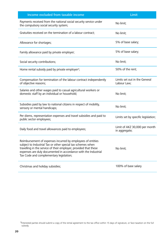| Income excluded from taxable income                                                                                                                                                                                                                                                                         | Limit                                          |
|-------------------------------------------------------------------------------------------------------------------------------------------------------------------------------------------------------------------------------------------------------------------------------------------------------------|------------------------------------------------|
| Payments received from the national social security service under<br>the compulsory social security system;                                                                                                                                                                                                 | No limit:                                      |
| Gratuities received on the termination of a labour contract:                                                                                                                                                                                                                                                | No limit;                                      |
| Allowance for shortages;                                                                                                                                                                                                                                                                                    | 5% of base salary;                             |
| Family allowance paid by private employer;                                                                                                                                                                                                                                                                  | 5% of base salary;                             |
| Social security contributions;                                                                                                                                                                                                                                                                              | No limit;                                      |
| Home rental subsidy paid by private employer <sup>3</sup> ;                                                                                                                                                                                                                                                 | 50% of the rent;                               |
| Compensation for termination of the labour contract independently<br>of objective reasons;                                                                                                                                                                                                                  | Limits set out in the General<br>Labour Law;   |
| Salaries and other wages paid to casual agricultural workers or<br>domestic staff by an individual or household;                                                                                                                                                                                            | No limit;                                      |
| Subsidies paid by law to national citizens in respect of mobility,<br>sensory or mental handicaps;                                                                                                                                                                                                          | No limit;                                      |
| Per diems, representation expenses and travel subsidies and paid to<br>public sector employees;                                                                                                                                                                                                             | Limits set by specific legislation;            |
| Daily food and travel allowances paid to employees;                                                                                                                                                                                                                                                         | Limit of AKZ 30,000 per month<br>in aggregate; |
| Reimbursement of expenses incurred by employees of entities<br>subject to Industrial Tax or other special tax schemes when<br>travelling in the service of their employer, provided that these<br>expenses are duly documented in accordance with the Industrial<br>Tax Code and complementary legislation; | No limit;                                      |
| Christmas and holiday subsidies;                                                                                                                                                                                                                                                                            | 100% of base salary.                           |

<sup>&</sup>lt;sup>3</sup>Interested parties should submit a copy of the rental agreement to the tax office within 15 days of signature, or face taxation on the full subsidy.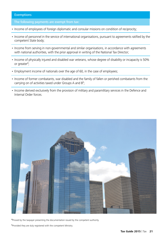## Exemptions

The following payments are exempt from tax:

- Income of employees of foreign diplomatic and consular missions on condition of reciprocity;
- Income of personnel in the service of international organisations, pursuant to agreements ratified by the competent State body;
- Income from serving in non-governmental and similar organisations, in accordance with agreements with national authorities, with the prior approval in writing of the National Tax Director;
- Income of physically injured and disabled war veterans, whose degree of disability or incapacity is 50% or greater<sup>4</sup>;
- Employment income of nationals over the age of 60, in the case of employees;
- Income of former combatants, war disabled and the family of fallen or perished combatants from the carrying on of activities taxed under Groups A and  $B^5$ ;
- Income derived exclusively from the provision of military and paramilitary services in the Defence and Internal Order forces.



<sup>4</sup>Proved by the taxpayer presenting the documentation issued by the competent authority.

<sup>5</sup>Provided they are duly registered with the competent Ministry.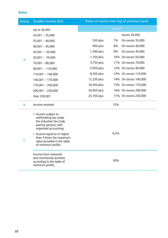## **Rates**

| Group | <b>Taxable income AKZ</b>                                                                                                                                                                                                                 |             |               | Rates on excess over top of previous band |
|-------|-------------------------------------------------------------------------------------------------------------------------------------------------------------------------------------------------------------------------------------------|-------------|---------------|-------------------------------------------|
|       | Up to 34,450                                                                                                                                                                                                                              |             | <b>Exempt</b> |                                           |
|       | $34,451 - 35,000$                                                                                                                                                                                                                         |             |               | excess 34,450                             |
|       | $35,001 - 40,000$                                                                                                                                                                                                                         | 550 plus    | 7%            | On excess 35,000                          |
|       | $40,001 - 45,000$                                                                                                                                                                                                                         | 900 plus    | 8%            | On excess 40,000                          |
|       | $45,001 - 50,000$                                                                                                                                                                                                                         | 1,300 plus  | 9%            | On excess 45,000                          |
| A     | $50,001 - 70,000$                                                                                                                                                                                                                         | 1,750 plus  |               | 10% On excess 50,000                      |
|       | $70,001 - 90,000$                                                                                                                                                                                                                         | 3,750 plus  |               | 11% On excess 70,000                      |
|       | $90,001 - 110,000$                                                                                                                                                                                                                        | 5,950 plus  |               | 12% On excess 90,000                      |
|       | $110,001 - 140,000$                                                                                                                                                                                                                       | 8,350 plus  |               | 13% On excess 110,000                     |
|       | 140,001 - 170,000                                                                                                                                                                                                                         | 12,250 plus |               | 14% On excess 140,000                     |
|       | $170,001 - 200,000$                                                                                                                                                                                                                       | 16,450 plus |               | 15% On excess 170,000                     |
|       | $200,001 - 230,000$                                                                                                                                                                                                                       | 20,950 plus |               | 16% On excess 200,000                     |
|       | Over 230,001                                                                                                                                                                                                                              | 25,750 plus |               | 17% On excess 230,000                     |
| B     | Income received                                                                                                                                                                                                                           |             | 15%           |                                           |
| C     | • Income subject to<br>withholding tax under<br>the Industrial Tax Code<br>paid by persons with<br>organised accounting;<br>• Income equal to or higher<br>than 4 times the maximum<br>value provided in the table<br>of minimum profits. |             | 6,5%          |                                           |
|       | Income from industrial<br>and commercial activities<br>according to the table of<br>minimum profits.                                                                                                                                      |             | 30%           |                                           |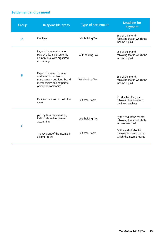## **Settlement and payment**

| Group      | <b>Responsible entity</b>                                                                                                                 | Type of settlement | Deadline for<br>payment                                                          |
|------------|-------------------------------------------------------------------------------------------------------------------------------------------|--------------------|----------------------------------------------------------------------------------|
| A          | Employer                                                                                                                                  | Withholding Tax    | End of the month<br>following that in which the<br>income is paid                |
|            | Payer of income - Income<br>paid by a legal person or by<br>an individual with organised<br>accounting                                    | Withholding Tax    | End of the month<br>following that in which the<br>income is paid                |
| B          | Payer of income - Income<br>attributed to holders of<br>management positions, board<br>memberships and corporate<br>officers of companies | Withholding Tax    | End of the month<br>following that in which the<br>income is paid                |
|            | Recipient of income - All other<br>cases                                                                                                  | Self-assessment    | 31 March in the year<br>following that to which<br>the income relates            |
| $\epsilon$ | paid by legal persons or by<br>individuals with organised<br>accounting                                                                   | Withholding Tax    | By the end of the month<br>following that in which the<br>income was paid;       |
|            | The recipient of the income, in<br>all other cases                                                                                        | Self-assessment    | By the end of March in<br>the year following that to<br>which the income relates |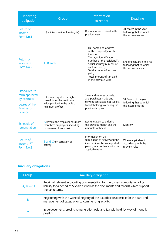| Reporting<br>obligation                                                                            | Group                                                                                                          | <b>Information</b><br>to report                                                                                                                                                                                                                                            | <b>Deadline</b>                                                              |
|----------------------------------------------------------------------------------------------------|----------------------------------------------------------------------------------------------------------------|----------------------------------------------------------------------------------------------------------------------------------------------------------------------------------------------------------------------------------------------------------------------------|------------------------------------------------------------------------------|
| Return of<br>income IRT<br>Form No.1                                                               | <b>B</b> (recipients resident in Angola)                                                                       | Remuneration received in the<br>previous year                                                                                                                                                                                                                              | 31 March in the year<br>following that to which<br>the income relates        |
| <b>Return of</b><br>income IRT<br>Form No.2                                                        | A, B and C                                                                                                     | • Full name and address<br>of the recipient(s) of the<br>income:<br>• Taxpayer identification<br>number of the recipient(s);<br>• Social security number of<br>each recipient;<br>• Total amount of income<br>paid;<br>• Total amount of tax paid<br>in the previous year. | End of February in the year<br>following that to which<br>the income relates |
| Official return<br>form approved<br>by executive<br>decree of the<br>Minister of<br><b>Finance</b> | C (Income equal to or higher<br>than 4 times the maximum<br>value provided in the table of<br>minimum profits) | Sales and services provided<br>and purchases made and<br>services contracted not subject<br>to withholding tax during the<br>previous tax year.                                                                                                                            | 31 March of the year<br>following that to which<br>the income relates        |
| Schedule of<br>remuneration                                                                        | A (Where the employer has more<br>than three employees, including<br>those exempt from tax)                    | Remuneration paid during<br>the previous month and the<br>amounts withheld.                                                                                                                                                                                                | Monthly                                                                      |
| Return of<br>income IRT<br>Form No 3                                                               | B and C (on cessation of<br>activity)                                                                          | Information on the<br>termination of activity and the<br>income since the last reported<br>period, in accordance with the<br>applicable rules.                                                                                                                             | Where applicable, in<br>accordance with the<br>relevant rules                |

## **Ancillary obligations**

| Group      | <b>Ancillary obligation</b>                                                                                                                                                                 |  |
|------------|---------------------------------------------------------------------------------------------------------------------------------------------------------------------------------------------|--|
| A, B and C | Retain all relevant accounting documentation for the correct computation of tax<br>liability for a period of 5 years as well as the documents and records which support<br>the tax returns. |  |
| B          | Registering with the General Registry of the tax office responsible for the care and<br>management of taxes, prior to commencing activity.                                                  |  |
| A          | Issue documents proving remuneration paid and tax withheld, by way of monthly<br>payslips.                                                                                                  |  |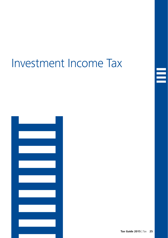## Investment Income Tax

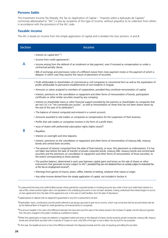## **Persons liable**

The Investment Income Tax (literally, the Tax on Application of Capital – "Imposto sobre a Aplicação de Capitais" commonly abbreviated to "IAC") is due by recipients of this type of income, without prejudice to its collection from others in accordance with the provisions of the IAC code.

## **Taxable income**

The IAC is levied on income from the simple application of capital and is divided into two sections: A and B.

| <b>Section</b> | Income                                                                                                                                                                                                                                                                                                                                                                                                             |
|----------------|--------------------------------------------------------------------------------------------------------------------------------------------------------------------------------------------------------------------------------------------------------------------------------------------------------------------------------------------------------------------------------------------------------------------|
|                | $\cdot$ Interest on capital lent <sup>1,2</sup> ;                                                                                                                                                                                                                                                                                                                                                                  |
|                | • Income from credit agreements <sup>1</sup> ;                                                                                                                                                                                                                                                                                                                                                                     |
| А              | • Income arising from the deferral of an instalment or late payment, even if received as compensation or under a<br>contractual penalty clause;                                                                                                                                                                                                                                                                    |
|                | · Bills of exchange and promissory notes of a different nature from mere payment motes or the payment of which is<br>delayed, in which case they assume the nature of placement of securities.                                                                                                                                                                                                                     |
|                | · Profit attributable to shareholders of commercial or civil companies in commercial form as well as the repatriation of<br>profits attributable to permanent establishments of non-residents in Angola;                                                                                                                                                                                                           |
|                | • Amounts or values assigned to members of cooperatives, provided they constitute remuneration of capital;                                                                                                                                                                                                                                                                                                         |
|                | • Interest, premiums on the cancellation or repayment and other forms of remuneration of bonds, participation<br>certificates or other similar securities issued by any company;                                                                                                                                                                                                                                   |
|                | • Interest on shareholder loans or other financial support provided by the partners or shareholders to companies that<br>are not S.A.'s or "em comandita por accões", as well as remuneration on these that has not been drawn down by<br>the end of the year of its attribution <sup>3</sup> ;                                                                                                                    |
|                | • The balance of interest computed and entered in a current account;                                                                                                                                                                                                                                                                                                                                               |
|                | • Amounts awarded to sole traders or companies as compensation for the suspension of their business;                                                                                                                                                                                                                                                                                                               |
|                | • Profits that sole traders or companies receives in the form of a profit share;                                                                                                                                                                                                                                                                                                                                   |
|                | • Issue of shares with preferential subscription rights (rights issues) <sup>4</sup> ;                                                                                                                                                                                                                                                                                                                             |
| в              | • Royalties;                                                                                                                                                                                                                                                                                                                                                                                                       |
|                | • Interest on overnight and time deposits;                                                                                                                                                                                                                                                                                                                                                                         |
|                | • Interest, premiums on the cancellation or repayment and other forms of remuneration of treasury bills, treasury<br>bonds and central bank securities:                                                                                                                                                                                                                                                            |
|                | • The amount of interest computed from the date of final maturity, or issue, first placement or endorsement, if it has<br>not fallen due before the date of transfer of private corporate bonds, treasury bills, treasury bonds and central bank<br>securities and the premiums on cancellation or repayment and other forms of remuneration of those securities, to<br>the extent corresponding to those periods; |
|                | · The positive balance, determined in each year between capital gains and losses on the sale of shares or other<br>instruments that generate income subject to IAC <sup>5</sup> , provided they are not obtained from an activity subject to Industrial Tax<br>or the Tax on employment income <sup>6</sup> ;                                                                                                      |
|                | . Winnings from games of chance, prizes, raffles, lotteries or betting, whatever their nature or origin;                                                                                                                                                                                                                                                                                                           |
|                | • Any other income derived from the simple application of capital, not included in Section A.                                                                                                                                                                                                                                                                                                                      |

<sup>1</sup>It is presumed that loans and credit facilities (except where granted by corporate bodies or involving amounts due under a final court order) bear interest at a rate of 6%, where another higher rate is not stipulated in the underlying document or has not been declared, it being understood that interest begins to accrue on loan agreements from the date of the agreement and, in the case of credit facilities, from the date of drawdown.

<sup>2</sup>Capital placed on deposit with its repayment guaranteed in any form is presumed to be lent.

<sup>3</sup>Shareholders' loans, contributions and the profits referred to are always assumed to give rise to income, which may not be less that the annual interest rate set by the National Bank of Angola for credit granted by commercial banks to companies.

<sup>4</sup>The amount taxable in this case is the difference between the issue price and the value of the shares issued in the increase of capital, and the discount granted from the price charged to the public is treated as a preference reserve.

<sup>5</sup>Where the capital gains or losses are realised in a regulated market and arise on the disposal of shares, bonds issued by private companies, treasury bills, treasury bonds and central bank securities with a maturity of 3 years or more, only 50% of the gain or loss is taken into account for tax purposes.

<sup>6</sup>In this case, the taxable amount or loss is the difference between the disposal proceeds and the costs of acquiring and selling the securities.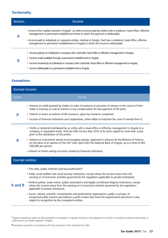## **Territoriality**

| <b>Section</b>         | Income                                                                                                                                                                                                                                                                                                                                             |  |  |  |
|------------------------|----------------------------------------------------------------------------------------------------------------------------------------------------------------------------------------------------------------------------------------------------------------------------------------------------------------------------------------------------|--|--|--|
| А                      | . Income from capital invested in Angola <sup>7</sup> , as well as income paid by entities with a residence, head office, effective<br>management or permanent establishment there to which the payment is attributable;<br>• Income paid to individuals or corporate entities, national or foreign, that have a residence, head office, effective |  |  |  |
|                        | management or permanent establishment in Angola to which the income is attributable                                                                                                                                                                                                                                                                |  |  |  |
|                        | · Income paid by an individual or company with a domicile, head office or effective management in Angola;<br>• Income made available through a permanent establishment in Angola;                                                                                                                                                                  |  |  |  |
| B                      | • Income received by an individual or company with a domicile, head office or effective management in Angola;<br>• Income attributable to a permanent establishment in Angola.                                                                                                                                                                     |  |  |  |
| <b>Exemptions</b>      |                                                                                                                                                                                                                                                                                                                                                    |  |  |  |
| <b>Exempt income</b>   |                                                                                                                                                                                                                                                                                                                                                    |  |  |  |
| <b>Section</b>         |                                                                                                                                                                                                                                                                                                                                                    |  |  |  |
|                        | Income                                                                                                                                                                                                                                                                                                                                             |  |  |  |
|                        | • Interest on credit granted by traders on sales of products or provision of services in the course of their<br>trade or business as well as interest or any compensation for late payment of the price;                                                                                                                                           |  |  |  |
| А                      | • Interest on loans on policies of life insurance, given by insurance companies;                                                                                                                                                                                                                                                                   |  |  |  |
|                        | • Income of financial institutions and cooperatives, when liable to Industrial Tax, even if exempt from it;                                                                                                                                                                                                                                        |  |  |  |
|                        | • Profits or dividends distributed by an entity with a head office or effective management in Angola to a<br>company or equivalent entity that has held not less than 25% of its share capital for more than a year<br>prior to the distribution of the profits;                                                                                   |  |  |  |
| B                      | • Interest on instruments aimed at encouraging savings, approved in advance by the Ministry of Finance,<br>on the basis of an opinion of the AGT with input from the National Bank of Angola, up to a limit of AKZ<br>500,000 per person;                                                                                                          |  |  |  |
|                        | • Interest on home savings accounts created by financial institutions.                                                                                                                                                                                                                                                                             |  |  |  |
| <b>Exempt entities</b> |                                                                                                                                                                                                                                                                                                                                                    |  |  |  |

- Public social welfare and social security institutions, except where the income arises from the carrying on of economic activities governed by the regulations applicable to private enterprises;
- Political parties, trade unions, public associations and legally constituted religious institutions, except where the income arises from the carrying on of economic activities governed by the regulations applicable to private enterprises; A and B
	- Social, cultural, scientific, humanitarian and professional organisations, public or private, of recognised public interest and without a profit motive that meet the requirements laid down in law, subject to recognition by the competent entities.

<sup>7</sup>Capital invested by means of documentation formalised in Angolan territory or the repayment of which is secured on assets located there, is presumed to be totally applied in Angola.

<sup>8</sup>Exemptions granted in accordance with the provisions of the General Tax Code.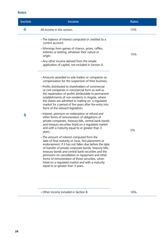## **Rates**

| <b>Section</b> | <b>Income</b>                                                                                                                                                                                                                                                                                                                                                                                                                                                              | Rates |
|----------------|----------------------------------------------------------------------------------------------------------------------------------------------------------------------------------------------------------------------------------------------------------------------------------------------------------------------------------------------------------------------------------------------------------------------------------------------------------------------------|-------|
| А              | All income in this section.                                                                                                                                                                                                                                                                                                                                                                                                                                                | 15%   |
|                | • The balance of interest computed or credited to a<br>current account:                                                                                                                                                                                                                                                                                                                                                                                                    |       |
|                | • Winnings from games of chance, prizes, raffles,<br>lotteries or betting, whatever their nature or<br>origin;                                                                                                                                                                                                                                                                                                                                                             | 15%   |
|                | • Any other income derived from the simple<br>application of capital, not included in Section A.                                                                                                                                                                                                                                                                                                                                                                           |       |
|                | • Amounts awarded to sole traders or companies as<br>compensation for the suspension of their business;                                                                                                                                                                                                                                                                                                                                                                    |       |
|                | • Profits distributed to shareholders of commercial<br>or civil companies in commercial form as well as<br>the repatriation of profits attributable to permanent<br>establishments of non-residents in Angola, where<br>the shares are admitted to trading on a regulated<br>market for a period of five years after the entry into<br>force of the relevant legislation;                                                                                                  |       |
| B              | · Interest, premium on redemption or refund and<br>other forms of remuneration of obligations of<br>private companies, treasury bills, central bank bonds<br>and treasury securities listed on a regulated market<br>and with a maturity equal to or greater than 3<br>years;                                                                                                                                                                                              | 5%    |
|                | • The amount of interest computed from the<br>date of final maturity or issue, first placement or<br>endorsement, if it has not fallen due before the date<br>of transfer of private corporate bonds, treasury bills,<br>treasury bonds and central bank securities and the<br>premiums on cancellation or repayment and other<br>forms of remuneration of those securities, when<br>listed on a regulated market and with a maturity<br>equal to or greater than 3 years. |       |

• Other income included in Section B.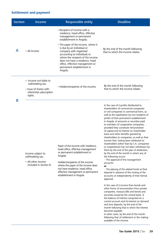## **Settlement and payment**

| <b>Section</b> | Income                                                                                                      | <b>Responsible entity</b>                                                                                                                                                                                                                                                                          | <b>Deadline</b>                                                                                                                                                                                                                                                                                                                                                                                                                                                                                                                                                                                                                                                                                                                                                                                                                                                                                                                                                                                                                                                                                                                                                                                                                                                                                                                  |
|----------------|-------------------------------------------------------------------------------------------------------------|----------------------------------------------------------------------------------------------------------------------------------------------------------------------------------------------------------------------------------------------------------------------------------------------------|----------------------------------------------------------------------------------------------------------------------------------------------------------------------------------------------------------------------------------------------------------------------------------------------------------------------------------------------------------------------------------------------------------------------------------------------------------------------------------------------------------------------------------------------------------------------------------------------------------------------------------------------------------------------------------------------------------------------------------------------------------------------------------------------------------------------------------------------------------------------------------------------------------------------------------------------------------------------------------------------------------------------------------------------------------------------------------------------------------------------------------------------------------------------------------------------------------------------------------------------------------------------------------------------------------------------------------|
|                |                                                                                                             | • Recipient of income with a<br>residence, head office, effective<br>management or permanent<br>establishment in Angola;                                                                                                                                                                           |                                                                                                                                                                                                                                                                                                                                                                                                                                                                                                                                                                                                                                                                                                                                                                                                                                                                                                                                                                                                                                                                                                                                                                                                                                                                                                                                  |
| А              | • All income                                                                                                | • The payer of the income, where it<br>is due by an individual or<br>company with organised<br>accounting to individuals or<br>where the recipient of the income<br>does not have a residence, head<br>office, effective management or<br>permanent establishment in<br>Angola.                    | By the end of the month following<br>that to which the income relates.                                                                                                                                                                                                                                                                                                                                                                                                                                                                                                                                                                                                                                                                                                                                                                                                                                                                                                                                                                                                                                                                                                                                                                                                                                                           |
| B              | • Income not liable to<br>withholding tax:<br>• Issue of shares with<br>referential subscription<br>rights. | • Holders/recipients of the income.                                                                                                                                                                                                                                                                | By the end of the month following<br>that to which the income relates.                                                                                                                                                                                                                                                                                                                                                                                                                                                                                                                                                                                                                                                                                                                                                                                                                                                                                                                                                                                                                                                                                                                                                                                                                                                           |
|                | Income subject to<br>withholding tax:<br>• All other income<br>included in Section B.                       | Payer of the income with residence,<br>head office, effective management<br>or permanent establishment in<br>Angola;<br>Holders/recipients of the income<br>where the payer of the income does<br>not have residence, head office,<br>effective management or permanent<br>establishment in Angola | In the case of i) profits distributed to<br>shareholders of commercial companies<br>or civil companies in commercial form, as<br>well as the repatriation by non-residents of<br>profits of their permanent establishment<br>in Angola, ii) amounts or securities paid<br>to members of cooperative companies,<br>provided they constitute remuneration<br>of capital and iii) interest on shareholder<br>loans and other benefits granted by<br>shareholders to companies, as well as their<br>income that, having been attributed to<br>shareholders (other than by S.A. companies<br>or cooperatives) has not been withdrawn by<br>them by the end of the year of attribution,<br>by the end of the month in which any of<br>the following occurs:<br>- The approval of the management<br>accounts.<br>or<br>- The placing of the related funds at their<br>disposal in advance of the closing of the<br>accounts or independently of their formal<br>approval.<br>In the case of i) income from bonds and<br>other forms of remuneration from private<br>companies, treasury bills and bonds and<br>securities issued by the central bank, ii)<br>the balance of interest computed on a<br>current account and iii) interest on demand<br>and time deposits, by the end of the<br>month following that in which the interest |

becomes payable; In other cases, by the end of the month

following that of settlement or the making available of the income.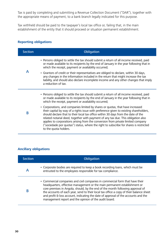Tax is paid by completing and submitting a Revenue Collection Document ("DAR"), together with the appropriate means of payment, to a bank branch legally indicated for this purpose.

Tax withheld should be paid to the taxpayer's local tax office or, failing that, in the main establishment of the entity that it should proceed or situation permanent establishment.

## **Reporting obligations**

| Section | Obligation                                                                                                                                                                                                                                                                                                                                                                                                                                                                                                                                                |
|---------|-----------------------------------------------------------------------------------------------------------------------------------------------------------------------------------------------------------------------------------------------------------------------------------------------------------------------------------------------------------------------------------------------------------------------------------------------------------------------------------------------------------------------------------------------------------|
|         | • Persons obliged to settle the tax should submit a return of all income received, paid<br>or made available to its recipients by the end of January in the year following that in<br>which the receipt, payment or availability occurred;                                                                                                                                                                                                                                                                                                                |
| A       | • Grantors of credit or their representatives are obliged to declare, within 30 days,<br>any changes in the information included in the return that might increase the tax<br>liability, and should also declare incomplete income and any other changes that imply<br>a reduction of tax.                                                                                                                                                                                                                                                                |
|         | • Persons obliged to settle the tax should submit a return of all income received, paid<br>or made available to its recipients by the end of January in the year following that in<br>which the receipt, payment or availability occurred;                                                                                                                                                                                                                                                                                                                |
| в       | • Corporations, and companies limited by shares or quotas, that have increased<br>their capital by way of a rights issue with preference given to existing shareholders,<br>should declare that to their local tax office within 30 days from the date of the<br>related notarial deed, together with payment of any tax due. This obligation also<br>applies to corporations arising from the conversion from private limited company<br>("sociedade por quotas") status, where the right to subscribe for shares is restricted<br>to the quota holders. |

## **Ancillary obligations**

| <b>Section</b> | <b>Obligation</b>                                                                                                                                                                                                                                                                                                                                                                                                                                                                      |
|----------------|----------------------------------------------------------------------------------------------------------------------------------------------------------------------------------------------------------------------------------------------------------------------------------------------------------------------------------------------------------------------------------------------------------------------------------------------------------------------------------------|
| А              | • Corporate bodies are required to keep a book recording loans, which must be<br>entrusted to the employees responsible for tax compliance.                                                                                                                                                                                                                                                                                                                                            |
| B              | • Commercial companies and civil companies in commercial form that have their<br>headquarters, effective management or the main permanent establishment or<br>core premises in Angola, should, by the end of the month following approval of<br>the accounts of each year, send to their local tax office a copy of their balance sheet<br>and profit & loss account, indicating the date of approval of the accounts and the<br>management report and the opinion of the audit board. |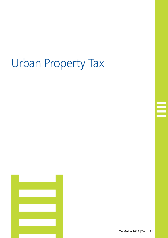## Urban Property Tax



**Tax Guide 2015** | Tax **31**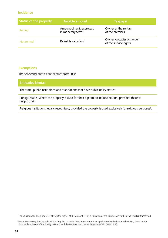## **Incidence**

| Status of the property | Taxable amount                                  | <b>Taxpayer</b>                                    |
|------------------------|-------------------------------------------------|----------------------------------------------------|
| Rented                 | Amount of rent, expressed<br>in monetary terms. | Owner of the rentals<br>of the premises            |
| Not rented             | Rateable valuation <sup>1</sup>                 | Owner, occupier or holder<br>of the surface rights |

## **Exemptions**

The following entities are exempt from IRU:

The state, public institutions and associations that have public utility status;

Foreign states, where the property is used for their diplomatic representation, provided there is reciprocity2;

Religious institutions legally recognised, provided the property is used exclusively for religious purposes3.

<sup>1</sup>The valuation for IPU purposes is always the higher of the amount set by a valuation or the value at which the asset was last transferred.

<sup>&</sup>lt;sup>2</sup>Exemptions recognised by order of the Angolan tax authorities, in response to an application by the interested entities, based on the<br>favourable opinions of the Foreign Ministry and the National Institute for Religious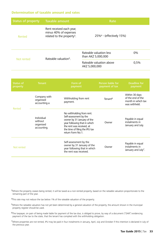## **Determination of taxable amount and rates**

| Status of property                            | Taxable amount                                                                              | Rate                                          |      |
|-----------------------------------------------|---------------------------------------------------------------------------------------------|-----------------------------------------------|------|
| Rented                                        | Rent received each year,<br>minus 40% of expenses<br>related to the property <sup>3</sup> . | 25% <sup>4</sup> - (effectively 15%)          |      |
| Rateable valuation <sup>5</sup><br>Not rented |                                                                                             | Rateable valuation less<br>than AKZ 5,000,000 | 0%   |
|                                               |                                                                                             | Rateable valuation above<br>AKZ 5,000,000     | 0,5% |

| Status of<br>property | <b>Tenant</b>                                     | Form of<br>payment                                                                                                                                                                                    | Person liable for<br>payment of tax | Deadline for<br>payment                                                    |
|-----------------------|---------------------------------------------------|-------------------------------------------------------------------------------------------------------------------------------------------------------------------------------------------------------|-------------------------------------|----------------------------------------------------------------------------|
| Rented                | Company with<br>organised<br>accounting.a.        | Withholding from rent<br>payment.                                                                                                                                                                     | Tenant <sup>6</sup>                 | Within 30 days<br>of the end of the<br>month in which tax<br>was withheld. |
|                       | Individual<br>without<br>organised<br>accounting. | No withholding from rent.<br>Self-assessment by the<br>owner by 31 January of the<br>year following that in which<br>the rent was received, at<br>the time of filing the IPU tax<br>return Form No.1. | Owner                               | Payable in equal<br>instalments in<br>January and July.                    |
| Not rented            |                                                   | Self-assessment by the<br>owner by 31 January of the<br>year following that in which<br>the rent was received.                                                                                        | Owner                               | Payable in equal<br>instalments in<br>January and July <sup>7</sup> .      |

<sup>3</sup>Where the property ceases being rented, it will be taxed as a non-rented property, based on the rateable valuation proportionate to the remaining part of the year.

<sup>4</sup>This rate may not reduce the tax below 1% of the rateable valuation of the property.

<sup>5</sup>Where the rateable valuation has not yet been determined by a general valuation of the property, the amount shown in the municipal property register should be used.

<sup>6</sup>The taxpayer, on pain of being made liable for payment of the tax due, is obliged to prove, by way of a document ("DAR") evidencing payment of the tax to the state, that the tenant has complied with the withholding obli

<sup>7</sup>Where properties are not rented, IPU may be paid in four instalments in January, April, July and October if this intention is declared in July of the previous year.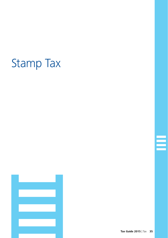## Stamp Tax

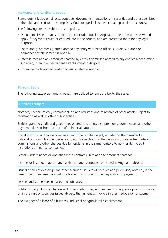## **Incidence and territorial scope**

Stamp duty is levied on all acts, contracts, documents, transactions in securities and other acts listed in the table annexed to the Stamp Duty Code or special laws, which take place in the country.

The following are also subject to stamp duty:

- Documents issued or acts or contracts concluded outside Angola, on the same terms as would apply if they were issued or entered into in the country and are presented there for any legal purpose;
- Loans and guarantees granted abroad any entity with head office, subsidiary, branch or permanent establishment in Angola;
- Interest, fees and any amounts charged by entities domiciled abroad to any entities a head office, subsidiary, branch or permanent establishment in Angola;
- Insurance made abroad relation to risk located in Angola.

## **Persons liable**

The following taxpayers, among others, are obliged to remit the tax to the state:

## Liabilities subject

Notaries, keepers of civil, commercial, or land registries and of records of other assets subject to registration as well as other public entities;

Entities granting credit and guarantees or creditors of interest, premiums, commissions and other payments derived from contracts of a financial nature;

Credit institutions, finance companies and other entities legally equated to them resident in national territory who intermediate in credit transactions. in the provision of guarantees, interest, commissions and other charges due by residents in the same territory to non-resident credit institutions or finance companies;

Lessors under finance or operating lease contracts, in relation to amounts charged;

Insurers or insured, in accordance with insurance contracts concluded in Angola or abroad;

Issuers of bills of exchange and other securities, issuers of cheques and promissory notes or, in the case of securities issued abroad, the first entity involved in the negotiation or payment;

Lessors and sub-lessors in leases and subleases;

Entities issuing bills of exchange and other credit notes, entities issuing cheques or promissory notes, or, in the case of securities issued abroad, the first entity involved in their negotiation or payment;

The assigner of a lease of a business, industrial or agricultural establishment.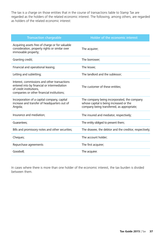The tax is a charge on those entities that in the course of transactions liable to Stamp Tax are regarded as the holders of the related economic interest. The following, among others, are regarded as holders of the related economic interest:

| <b>Transaction chargeable</b>                                                                                                                                        | Holder of the economic interest                                                                                                      |
|----------------------------------------------------------------------------------------------------------------------------------------------------------------------|--------------------------------------------------------------------------------------------------------------------------------------|
| Acquiring assets free of charge or for valuable<br>consideration, property rights or similar over<br>immovable property;                                             | The acquirer;                                                                                                                        |
| Granting credit;                                                                                                                                                     | The borrower;                                                                                                                        |
| Financial and operational leasing;                                                                                                                                   | The lessee:                                                                                                                          |
| Letting and subletting;                                                                                                                                              | The landlord and the sublessor:                                                                                                      |
| Interest, commissions and other transactions<br>entered into by financial or intermediation<br>of credit institutions.<br>companies or other financial institutions; | The customer of these entities;                                                                                                      |
| Incorporation of a capital company, capital<br>increase and transfer of headquarters out of<br>Angola;                                                               | The company being incorporated, the company<br>whose capital is being increased or the<br>company being transferred, as appropriate; |
| Insurance and mediation:                                                                                                                                             | The insured and mediator, respectively;                                                                                              |
| Guarantees;                                                                                                                                                          | The entity obliged to present them;                                                                                                  |
| Bills and promissory notes and other securities;                                                                                                                     | The drawee, the debtor and the creditor, respectively;                                                                               |
| Cheques;                                                                                                                                                             | The account holder;                                                                                                                  |
| Repurchase agreements                                                                                                                                                | The first acquirer;                                                                                                                  |
| Goodwill:                                                                                                                                                            | The acquirer.                                                                                                                        |

In cases where there is more than one holder of the economic interest, the tax burden is divided between them.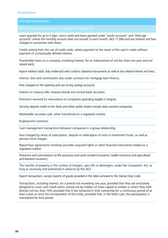## **Exemptions**

Exempt transactions

Loans granted for up to 5 days, micro credit and loans granted under "youth accounts" and "third age accounts" where the monthly amount does not exceed, in each month, AKZ 17,600 and any interest and fees charged in connection with these;

Credits arising from the use of credit cards, where payment to the issuer of the card is made without payment of contractually defined interest;

Shareholder loans to a company, including interest, for an initial period of not less than one year and not repaid early;

Export-related credit, duly evidenced with customs clearance documents as well as any related interest and fees;

Interest, fees and commissions due under contracts for mortgage loan finance;

Fees charged on the opening and use of any savings accounts;

Interest on treasury bills, treasury bonds and central bank securities;

Premiums received for reinsurance of companies operating legally in Angola;

Security deposit made to the State and other public bodies except state-owned companies;

Marketable securities sold, when transferred on a regulated market;

Employment contracts;

Cash management transactions between companies in a group relationship.

Fees charged by virtue of subscription, deposit or redemption of units in investment funds, as well as pension fund charges;

Repurchase agreements involving securities acquired rights or other financial instruments traded on a regulated market

Premiums and commissions on life assurance and work accident insurance, health insurance and agricultural and livestock insurance;

The transfer of property in the context of mergers, spin-offs or demergers, under the Companies' Act, as long as necessary and authorised in advance by the AGT;

Export transactions, except exports of goods provided in the table annexed to the Stamp Duty Code;

Transactions, including interest, for a period not exceeding one year, provided that they are exclusively designed to cover cash needs when carried out by holders of share capital to entities in which they hold directly not less than 10% provided that it has remained in their ownership for a continuous period of at least a year or since the incorporation of the entity, provided that, in the latter case, the participation is maintained for that period;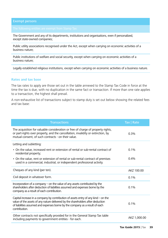## Exempt persons

The Government and any of its departments, institutions and organisations, even if personalized, except state-owned companies;

Public utility associations recognised under the Act, except when carrying on economic activities of a business nature;

Public institutions of welfare and social security, except when carrying on economic activities of a business nature;

Legally established religious institutions, except when carrying on economic activities of a business nature.

## **Rates and tax base**

The tax rates to apply are those set out in the table annexed to the Stamp Tax Code in force at the time the tax is due, with no duplication in the same fact or transaction. If more than one rate applies to a transaction, the highest shall prevail.

A non-exhaustive list of transactions subject to stamp duty is set out below showing the related fees and tax base:

| <b>Transactions</b>                                                                                                                                                                                                                                                      | Tax   Rate   |
|--------------------------------------------------------------------------------------------------------------------------------------------------------------------------------------------------------------------------------------------------------------------------|--------------|
| The acquisition for valuable consideration or free of charge of property rights,<br>or part-rights over property, and the cancellation, invalidity or extinction, by<br>mutual consent, of such contracts - on their value.                                              | 0.3%         |
| Letting and subletting:                                                                                                                                                                                                                                                  |              |
| • On the value, increased rent or extension of rental or sub-rental contract of<br>residential property;                                                                                                                                                                 | 0.1%         |
| • On the value, rent or extension of rental or sub-rental contract of premises<br>used in a commercial, industrial, or independent professional activity.                                                                                                                | 0.4%         |
| Cheques of any kind (per ten).                                                                                                                                                                                                                                           | AKZ 100.00   |
| Civil deposit in whatever form.                                                                                                                                                                                                                                          | 0.1%         |
| Incorporation of a company - on the value of any assets contributed by the<br>shareholders after deduction of liabilities assumed and expenses borne by the<br>company as a result of each contribution.                                                                 | 0.1%         |
| Capital increase in a company by contribution of assets entry of any kind $-$ on the<br>value of the assets of any nature delivered by the shareholders after deduction<br>of liabilities assumed and expenses borne by the company as a result of each<br>contribution. | 0.1%         |
| Other contracts not specifically provided for in the General Stamp Tax table<br>including payments to government entities - for each.                                                                                                                                    | AKZ 1,000.00 |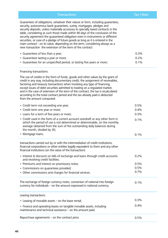| <b>Transactions</b>                                                                                                                                                                                                                                                                                                                                                                                                                                                                                                                                                                                                                              | Tax   Rate |
|--------------------------------------------------------------------------------------------------------------------------------------------------------------------------------------------------------------------------------------------------------------------------------------------------------------------------------------------------------------------------------------------------------------------------------------------------------------------------------------------------------------------------------------------------------------------------------------------------------------------------------------------------|------------|
| Guarantees of obligations, whatever their nature or form, including guarantees,<br>security, autonomous bank quarantees, surety, mortgages, pledges and<br>security deposits, unless materially accessory to specially taxed contracts in the<br>table, considering as such those made within 90 days of the conclusion of the<br>security agreement the quaranteed obligation even in instruments or different<br>securities, or case of a pledge of future goods as long as it is entered in the<br>main contract - on its value, depending on the term, considering always as a<br>new transaction the extension of the term of the contract: |            |
| • Guarantees of less than a year;                                                                                                                                                                                                                                                                                                                                                                                                                                                                                                                                                                                                                | 0.3%       |
| • Guarantees lasting a year or more;                                                                                                                                                                                                                                                                                                                                                                                                                                                                                                                                                                                                             | 0.2%       |
| • Guarantees for an unspecified period, or lasting five years or more;                                                                                                                                                                                                                                                                                                                                                                                                                                                                                                                                                                           | 0.1%       |
| Financing transactions:                                                                                                                                                                                                                                                                                                                                                                                                                                                                                                                                                                                                                          |            |
| The use of credits in the form of funds, goods and other values by the grant of<br>credit in any way, including documentary credit, the assignment of receivables,<br>factoring and treasury transactions when involving any type of financing,<br>except issues of debt securities admitted to trading on a regulated market,<br>and in the case of extension of the term of the contract, the tax is recalculated<br>according to the total contract period and the tax already paid is deducted<br>from the amount computed:                                                                                                                  |            |
| • Credit term not exceeding one year;                                                                                                                                                                                                                                                                                                                                                                                                                                                                                                                                                                                                            | 0.5%       |
| • Credit term one year or more;                                                                                                                                                                                                                                                                                                                                                                                                                                                                                                                                                                                                                  | 0.4%       |
| • Loans for a term of five years or more;                                                                                                                                                                                                                                                                                                                                                                                                                                                                                                                                                                                                        | 0.3%       |
| • Credit used in the form of a current account overdraft or any other form in<br>which the period of use is not determined or determinable, on the monthly<br>average obtained from the sum of the outstanding daily balances during<br>the month, divided by 30;                                                                                                                                                                                                                                                                                                                                                                                | 0.1%       |
| • Mortgage loans.                                                                                                                                                                                                                                                                                                                                                                                                                                                                                                                                                                                                                                | 0.1%       |
| transactions carried out by or with the intermediation of credit institutions,<br>financial corporations or other entities legally equivalent to them and any other<br>financial institutions (on the value of the transaction):                                                                                                                                                                                                                                                                                                                                                                                                                 |            |
| • Interest & discount on bills of exchange and loans through credit accounts<br>and revolving credit facilities;                                                                                                                                                                                                                                                                                                                                                                                                                                                                                                                                 | 0.2%       |
| • Premiums and interest on promissory notes;                                                                                                                                                                                                                                                                                                                                                                                                                                                                                                                                                                                                     | 0.5%       |
| • Commissions on quarantees provided;                                                                                                                                                                                                                                                                                                                                                                                                                                                                                                                                                                                                            | 0.5%       |
| • Other commissions and charges for financial services.                                                                                                                                                                                                                                                                                                                                                                                                                                                                                                                                                                                          | 0.7%       |
| The exchange of foreign currency notes, conversion of national into foreign<br>currency for individuals - on the amount expressed in national currency.                                                                                                                                                                                                                                                                                                                                                                                                                                                                                          | 0.1%       |
| Leasing transactions:                                                                                                                                                                                                                                                                                                                                                                                                                                                                                                                                                                                                                            |            |
| • Leasing of movable assets – on the lease rental;                                                                                                                                                                                                                                                                                                                                                                                                                                                                                                                                                                                               | 0.3%       |
| • Finance and operating leases on tangible movable assets, including<br>maintenance and technical assistance - on the amount paid.                                                                                                                                                                                                                                                                                                                                                                                                                                                                                                               | 0.4%       |
| Repurchase agreements - on the contract price.                                                                                                                                                                                                                                                                                                                                                                                                                                                                                                                                                                                                   | 0.5%       |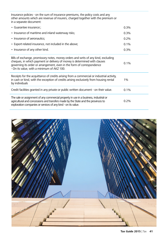| Insurance policies - on the sum of insurance premiums, the policy costs and any<br>other amounts which are revenue of insurers, charged together with the premium or<br>in a separate document:                                                                                         |         |
|-----------------------------------------------------------------------------------------------------------------------------------------------------------------------------------------------------------------------------------------------------------------------------------------|---------|
| · Guarantee insurance:                                                                                                                                                                                                                                                                  | 0.3%    |
| • Insurance of maritime and inland waterway risks;                                                                                                                                                                                                                                      | 0.3%    |
| • Insurance of aeronautics;                                                                                                                                                                                                                                                             | 0.2%    |
| • Export-related insurance, not included in the above;                                                                                                                                                                                                                                  | $0.1\%$ |
| • Insurance of any other kind.                                                                                                                                                                                                                                                          | 0.3%    |
| Bills of exchange, promissory notes, money orders and writs of any kind, excluding<br>cheques, in which payment or delivery of money is determined with clauses<br>governing its order or arrangement, even in the form of correspondence<br>- On its value, with a minimum of AKZ 100. | 0.1%    |
| Receipts for the acquittance of credits arising from a commercial or industrial activity,<br>in cash or kind, with the exception of credits arising exclusively from housing rental<br>by individuals                                                                                   | 1%      |
| Credit facilities granted in any private or public written document - on their value.                                                                                                                                                                                                   | 0.1%    |
| The sale or assignment of any commercial property in use in a business, industrial or<br>agricultural and concessions and transfers made by the State and the provinces to<br>exploration companies or services of any kind - on its value.                                             | 0.2%    |

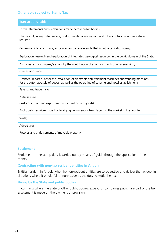## **Other acts subject to Stamp Tax**

## Transactions liable:

Formal statements and declarations made before public bodies;

The deposit, in any public service, of documents by associations and other institutions whose statutes require it;

Conversion into a company, association or corporate entity that is not a capital company;

Exploration, research and exploration of integrated geological resources in the public domain of the State;

An increase in a company's assets by the contribution of assets or goods of whatever kind;

Games of chance;

Licences, in particular for the installation of electronic entertainment machines and vending machines for the automatic sale of goods, as well as the operating of catering and hotel establishments;

Patents and trademarks;

Notarial acts;

Customs import and export transactions (of certain goods);

Public debt securities issued by foreign governments when placed on the market in the country;

Writs;

Advertising;

Records and endorsements of movable property

## **Settlement**

Settlement of the stamp duty is carried out by means of guide through the application of their money.

### **Contracting with non-tax resident entities in Angola**

Entities resident in Angola who hire non-resident entities are to be settled and deliver the tax due, in situations where it would fall to non-residents the duty to settle the tax.

## **Hiring by the State and public bodies**

In contracts where the State or other public bodies, except for companies public, are part of the tax assessment is made on the payment of provision.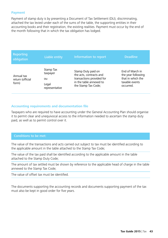## **Payment**

Payment of stamp duty is by presenting a Document of Tax Settlement (DLI), discriminating, attached the tax levied under each of the sums of the table, the supporting entities in their accounting books and their registration, the existing realities. Payment must occur by the end of the month following that in which the tax obligation has lodged.

| Reporting<br>obligation                 | Liable entity                                          | Information to report                                                                                                        | <b>Deadline</b>                                                                           |
|-----------------------------------------|--------------------------------------------------------|------------------------------------------------------------------------------------------------------------------------------|-------------------------------------------------------------------------------------------|
| Annual tax<br>return (official<br>form) | Stamp Tax<br>taxpayer<br>ΟU<br>Legal<br>representative | Stamp Duty paid on<br>the acts, contracts and<br>transactions provided for<br>in the table annexed to<br>the Stamp Tax Code; | End of March in<br>the year following<br>that in which the<br>taxable events<br>occurred. |

## **Accounting requirements and documentation file**

Taxpayers who are required to have accounting under the General Accounting Plan should organise it to permit clear and unequivocal access to the information needed to ascertain the stamp duty paid, as well as to permit control over it.

## Conditions to be met:

The value of the transactions and acts carried out subject to tax must be identified according to the applicable amount in the table attached to the Stamp Tax Code;

The value of the tax paid shall be identified according to the applicable amount in the table attached to the Stamp Duty Code;

The amount of tax settled must be shown by reference to the applicable head of charge in the table annexed to the Stamp Tax Code;

The value of offset tax must be identified.

The documents supporting the accounting records and documents supporting payment of the tax must also be kept in good order for five years.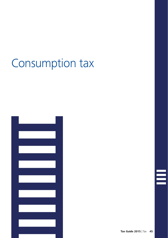## Consumption tax



**Tax Guide 2015** | Tax **45**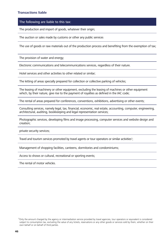## **Transactions liable**

### The following are liable to this tax:

The production and import of goods, whatever their origin:

The auction or sales made by customs or other any public services

The use of goods or raw materials out of the production process and benefiting from the exemption of tax;

The provision of water and energy;

Electronic communications and telecommunications services, regardless of their nature.

Hotel services and other activities to other related or similar;

The letting of areas specially prepared for collection or collective parking of vehicles;

The leasing of machinery or other equipment, excluding the leasing of machines or other equipment which, by their nature, give rise to the payment of royalties as defined in the IAC code;

The rental of areas prepared for conferences, conventions, exhibitions, advertising or other events;

Consulting services, namely legal, tax, financial, economic, real estate, accounting, computer, engineering, architectural, auditing, bookkeeping and legal representation services;

Photographic services, developing films and image processing, computer services and website design and creation;

private security services;

Travel and tourism services promoted by travel agents or tour operators or similar activities<sup>1</sup>;

Management of shopping facilities, canteens, dormitories and condominiums;

Access to shows or cultural, recreational or sporting events:

The rental of motor vehicles.

<sup>1</sup>Only the amount charged by the agency or intermediation service provided by travel agencies, tour operators or equivalent is considered subject to consumption tax, excluding the value of any tickets, reservations or any other goods or services sold by them, whether on their own behalf or on behalf of third parties.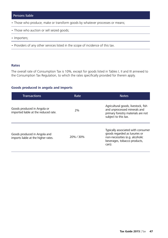## Persons liable

- Those who produce, make or transform goods by whatever processes or means;
- Those who auction or sell seized goods;
- Importers;
- Providers of any other services listed in the scope of incidence of this tax.

### **Rates**

The overall rate of Consumption Tax is 10%, except for goods listed in Tables I, II and III annexed to the Consumption Tax Regulation, to which the rates specifically provided for therein apply.

## **Goods produced in angola and imports**

| <b>Transactions</b>                                                 | Rate    | <b>Notes</b>                                                                                                                                     |
|---------------------------------------------------------------------|---------|--------------------------------------------------------------------------------------------------------------------------------------------------|
| Goods produced in Angola or<br>imported liable at the reduced rate. | 2%      | Agricultural goods, livestock, fish<br>and unprocessed minerals and<br>primary forestry materials are not<br>subject to this tax.                |
| Goods produced in Angola and<br>imports liable at the higher rates. | 20%/30% | Typically associated with consumer<br>goods regarded as luxuries or<br>non-necessities (e.g. alcoholic<br>beverages, tobacco products,<br>cars). |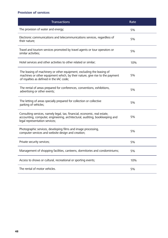## **Provision of services**

| <b>Transactions</b>                                                                                                                                                                               | Rate |
|---------------------------------------------------------------------------------------------------------------------------------------------------------------------------------------------------|------|
| The provision of water and energy;                                                                                                                                                                | 5%   |
| Electronic communications and telecommunications services, regardless of<br>their nature;                                                                                                         | 5%   |
| Travel and tourism services promoted by travel agents or tour operators or<br>similar activities;                                                                                                 | 5%   |
| Hotel services and other activities to other related or similar;                                                                                                                                  | 10%  |
| The leasing of machinery or other equipment, excluding the leasing of<br>machines or other equipment which, by their nature, give rise to the payment<br>of royalties as defined in the IAC code; | 5%   |
| The rental of areas prepared for conferences, conventions, exhibitions,<br>advertising or other events;                                                                                           | 5%   |
| The letting of areas specially prepared for collection or collective<br>parking of vehicles;                                                                                                      | 5%   |
| Consulting services, namely legal, tax, financial, economic, real estate,<br>accounting, computer, engineering, architectural, auditing, bookkeeping and<br>legal representation services;        | 5%   |
| Photographic services, developing films and image processing,<br>computer services and website design and creation;                                                                               | 5%   |
| Private security services;                                                                                                                                                                        | 5%   |
| Management of shopping facilities, canteens, dormitories and condominiums;                                                                                                                        | 5%   |
| Access to shows or cultural, recreational or sporting events;                                                                                                                                     | 10%  |
| The rental of motor vehicles.                                                                                                                                                                     | 5%   |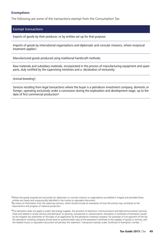## **Exemptions**

The following are some of the transactions exempt from the Consumption Tax:

## Exempt transactions

Exports of goods by their producer, or by entities set up for that purpose;

Imports of goods by international organisations and diplomatic and consular missions, where reciprocal treatment applies<sup>2</sup>;

Manufactured goods produced using traditional handicraft methods;

Raw materials and subsidiary materials, incorporated in the process of manufacturing equipment and spare parts, duly certified by the supervising ministries and a declaration of exclusivity;

### Animal-breeding<sup>3</sup>;

Services resulting from legal transactions where the buyer is a petroleum investment company, domestic or foreign, operating exclusively under a concession during the exploration and development stage, up to the date of first commercial production4.

<sup>2</sup>Where the goods acquired are exclusively for diplomatic or consular missions or organisations accredited in Angola and provided those entities are clearly and unequivocally identified in the invoice or equivalent document.

<sup>3</sup>By means of information from the veterinary services, which should include an evaluation of how the activity may contribute to the improvement and progress of national production.

<sup>4</sup>The exemption does not apply to water and energy supplies, the provision of electronic communications and telecommunications services, hotel and related or similar services and admission to sporting, recreational or cultural events. Exemption a Certificate of Exemption issued by the Angolan tax authorities on the basis of an application by the petroleum investing company. For purposes of non-payment of the tax, the petroleum investing company should send an authenticated copy of the exemption certificate to the supplier of goods or services, and the related invoice or equivalent document should bear the statement "transaction exempt under Certificate of Exemption number…"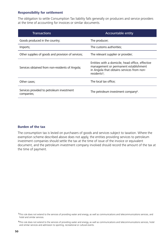## **Responsibility for settlement**

The obligation to settle Consumption Tax liability falls generally on producers and service providers at the time of accounting for invoices or similar documents.

| <b>Transactions</b>                                     | Accountable entity                                                                                                                                                 |
|---------------------------------------------------------|--------------------------------------------------------------------------------------------------------------------------------------------------------------------|
| Goods produced in the country;                          | The producer;                                                                                                                                                      |
| Imports;                                                | The customs authorities:                                                                                                                                           |
| Other supplies of goods and provision of services;      | The relevant supplier or provider;                                                                                                                                 |
| Services obtained from non-residents of Angola;         | Entities with a domicile, head office, effective<br>management or permanent establishment<br>in Angola that obtains services from non-<br>residents <sup>5</sup> : |
| Other cases;                                            | The local tax office;                                                                                                                                              |
| Services provided to petroleum investment<br>companies; | The petroleum investment company <sup>6</sup> .                                                                                                                    |

## **Burden of the tax**

The consumption tax is levied on purchasers of goods and services subject to taxation. Where the exemption scheme described above does not apply, the entities providing services to petroleum investment companies should settle the tax at the time of issue of the invoice or equivalent document, and the petroleum investment company involved should record the amount of the tax at the time of payment.

<sup>5</sup>This rule does not extend to the services of providing water and energy, as well as communications and telecommunications services, and hotel and similar services.

<sup>6</sup>This rule does not extend to the services of providing water and energy, as well as communications and telecommunications services, hotel and similar services and admission to sporting, recreational or cultural events.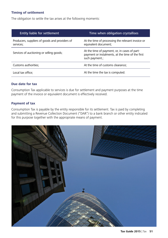## **Timing of settlement**

The obligation to settle the tax arises at the following moments:

| Entity liable for settlement                                | Time when obligation crystallises                                                                                   |
|-------------------------------------------------------------|---------------------------------------------------------------------------------------------------------------------|
| Producers, suppliers of goods and providers of<br>services: | At the time of processing the relevant invoice or<br>equivalent document;                                           |
| Services of auctioning or selling goods;                    | At the time of payment, or, in cases of part-<br>payment or instalments, at the time of the first<br>such payment.; |
| Customs authorities;                                        | At the time of customs clearance;                                                                                   |
| Local tax office;                                           | At the time the tax is computed.                                                                                    |

## **Due date for tax**

Consumption Tax applicable to services is due for settlement and payment purposes at the time payment of the invoice or equivalent document is effectively received.

## **Payment of tax**

Consumption Tax is payable by the entity responsible for its settlement. Tax is paid by completing and submitting a Revenue Collection Document ("DAR") to a bank branch or other entity indicated for this purpose together with the appropriate means of payment.

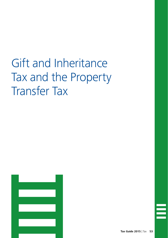## Gift and Inheritance Tax and the Property Transfer Tax



**Tax Guide 2015** | Tax **53**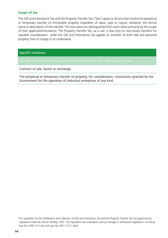## **Scope of tax**

The Gift and Inheritance Tax and the Property Transfer Tax ("Sisa") apply to all acts that involve the perpetual or temporary transfer of immovable property regardless of value, type or nature, whatever the formal name or description of the transfer. The two taxes are distinguished from each other primarily by the scope of their application/incidence. The Property Transfer Tax, as a rule, is due only on real estate transfers for valuable consideration while the Gift and Inheritance Tax applies to transfers of both real and personal property free of charge or at undervalue.

## Specific incidence

Contract of sale, barter or exchange;

The perpetual or temporary transfer of property, for consideration, concessions granted by the Government for the operation of industrial enterprises of any kind.

<sup>1</sup>The regulation for the Settlement and Collection of Gift and Inheritance Tax and the Property Transfer Tax was approved by Legislative Order No.230 of 18 May, 1931. The regulation has undergone various changes in subsequent legislation, including Law No.15/92 of 3 July, and Law No.16/11 of 21 April.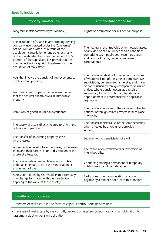## **Specific incidence**

| <b>Property Transfer Tax</b>                                                                                                                                                                                                                                                                                                                                                          | <b>Gift and Inheritance Tax</b>                                                                                                                                                                                                                                                                                                                                                  |  |
|---------------------------------------------------------------------------------------------------------------------------------------------------------------------------------------------------------------------------------------------------------------------------------------------------------------------------------------------------------------------------------------|----------------------------------------------------------------------------------------------------------------------------------------------------------------------------------------------------------------------------------------------------------------------------------------------------------------------------------------------------------------------------------|--|
| Long-term rentals (for twenty years or more);                                                                                                                                                                                                                                                                                                                                         | Rights of occupation for residential purposes;                                                                                                                                                                                                                                                                                                                                   |  |
| The acquisition of shares in any property-owning<br>company incorporated under the Companies'<br>Act or Civil Code when, as a result of the<br>acquisition, cancellation or any other acts, any<br>of the shareholders becomes the holder of 50%<br>or more of the capital and it is proved that the<br>main objective in acquiring the shares was the<br>acquisition of real estate; | The free transfer of movable or immovable assets<br>of any kind or nature, under certain conditions<br>comprising cash, public debt securities shares<br>and bonds of banks, limited companies or<br>corporations;                                                                                                                                                               |  |
| Acts that involve the transfer of improvements to<br>rural or urban property;                                                                                                                                                                                                                                                                                                         | The transfer on death of foreign debt securities,<br>of whatever kind, of the state or administrative<br>subdivisions, currency exchange bills, and shares<br>or bonds issued by foreign companies or similar<br>entities where transfer occurs as a result of<br>succession, forced distribution, liquidation or<br>apportionment in accordance with applicable<br>legislation. |  |
| Transfers of real property that increase the part<br>that the acquirer already owns in immovable<br>property;                                                                                                                                                                                                                                                                         |                                                                                                                                                                                                                                                                                                                                                                                  |  |
| Remission of goods in judicial executions;                                                                                                                                                                                                                                                                                                                                            | The transfer inter-vivos of the same securities to<br>national or foreign citizens, where it takes place<br>in Angola;                                                                                                                                                                                                                                                           |  |
| The supply of assets directly to creditors, with the<br>obligation to pay them;                                                                                                                                                                                                                                                                                                       | The transfer mortis-causa of the same securities<br>when effected by a foreigner domiciled in<br>Angola;                                                                                                                                                                                                                                                                         |  |
| The transfer of an existing property lease<br>by the lessee;                                                                                                                                                                                                                                                                                                                          | Legacies left to beneficiaries of a will;                                                                                                                                                                                                                                                                                                                                        |  |
| Agreements entered into among heirs, or between<br>them and third parties, prior to distribution of the<br>estate of a testator:                                                                                                                                                                                                                                                      | The cancellation, withdrawal or revocation of<br>inter-vivos gifts;                                                                                                                                                                                                                                                                                                              |  |
| Purchase or sale agreements relating to rights<br>under an inheritance, or to the renunciation or<br>assignment of them;                                                                                                                                                                                                                                                              | Contracts granting a permanent or temporary<br>right-of-way for nil consideration;                                                                                                                                                                                                                                                                                               |  |
| Assets contributed by shareholders to a company<br>in exchange for shares, with the transfer tax<br>applying to the value of those assets;                                                                                                                                                                                                                                            | Reductions for nil consideration of amounts<br>payable by a tenant or occupant to a landlord.                                                                                                                                                                                                                                                                                    |  |

## Simultaneous incidence

- Transfers of real estate in the form of capital contributions or pensions;
- Transfers of real estate by way of gift, bequest or legal succession, carrying an obligation to assume a debt or pension obligation.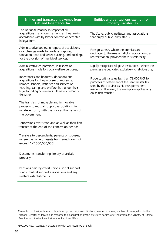| Entities and transactions exempt from<br><b>Gift and Inheritance Tax</b>                                                                                                                                                                                   | Entities and transactions exempt from<br><b>Property Transfer Tax</b>                                                                                                                                                        |
|------------------------------------------------------------------------------------------------------------------------------------------------------------------------------------------------------------------------------------------------------------|------------------------------------------------------------------------------------------------------------------------------------------------------------------------------------------------------------------------------|
| The National Treasury, in respect of all<br>acquisitions in any form, as long as they are in<br>accordance with by law or contract or accepted<br>in legal form;                                                                                           | The State, public institutes and associations<br>that enjoy public utility status;                                                                                                                                           |
| Administrative bodies, in respect of acquisitions<br>or exchanges made for welfare purposes,<br>sanitation, road and street-building, and buildings<br>for the provision of municipal services;                                                            | Foreign states <sup>2</sup> , where the premises are<br>dedicated to the relevant diplomatic or consular<br>representation, provided there is reciprocity;                                                                   |
| Administrative corporations, in respect of<br>acquisitions made for social welfare purposes;                                                                                                                                                               | Legally recognised religious institutions <sup>2</sup> , where the<br>premises are dedicated exclusively to religious use;                                                                                                   |
| Inheritances and bequests, donations and<br>acquisitions for the purposes of museums,<br>libraries, schools, institutes and services of<br>teaching, caring, and welfare that, under their<br>legal founding documents, ultimately belong to<br>the State. | Property with a value less than 78,000 UCF for<br>purposes of settlement of the Sisa transfer tax,<br>used by the acquirer as his own permanent<br>residence. However, this exemption applies only<br>on its first transfer. |
| The transfers of movable and immovable<br>property to mutual support associations, in<br>whatever form, with the prior authorisation of<br>the government;                                                                                                 |                                                                                                                                                                                                                              |
| Concessions over state land as well as their first<br>transfer at the end of the concession period;                                                                                                                                                        |                                                                                                                                                                                                                              |
| Transfers to descendants, parents or spouses,<br>where the value of assets transferred does not<br>exceed AKZ 500,000,000 <sup>3</sup> .                                                                                                                   |                                                                                                                                                                                                                              |
| Documents transferring literary or artistic<br>property;                                                                                                                                                                                                   |                                                                                                                                                                                                                              |
| Pensions paid by credit unions, social support<br>funds, mutual support associations and any<br>welfare establishments.                                                                                                                                    |                                                                                                                                                                                                                              |

3500,000 New Kwanzas, in accordance with Law No.15/92 of 3 July.

<sup>2</sup>Exemption of foreign states and legally recognised religious institutions, referred to above, is subject to recognition by the National Director of Taxation, in response to an application by the interested parties, after input from the Ministry of External Relations and the National Institute for Religious Affairs.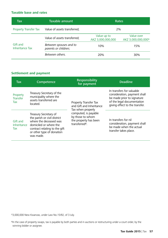## **Taxable base and rates**

| Tax                                | Taxable amount                                 | <b>Rates</b>                     |                                  |
|------------------------------------|------------------------------------------------|----------------------------------|----------------------------------|
| Property Transfer Tax              | Value of assets transferred;                   | 2%                               |                                  |
| Gift and<br><b>Inheritance Tax</b> | Value of assets transferred;                   | Value up to<br>AKZ 3,000,000,000 | Value over<br>AKZ 3,000,000,0005 |
|                                    | Between spouses and to<br>parents or children; | 10%                              | 15%                              |
|                                    | Between others.                                | 20%                              | 30%                              |

## **Settlement and payment**

| Tax                                | Competence                                                                                                                                                                                       | Responsibility<br>for payment                                                                                                                                           | <b>Deadline</b>                                                                                                                                         |
|------------------------------------|--------------------------------------------------------------------------------------------------------------------------------------------------------------------------------------------------|-------------------------------------------------------------------------------------------------------------------------------------------------------------------------|---------------------------------------------------------------------------------------------------------------------------------------------------------|
| Property<br><b>Transfer</b><br>Tax | Treasury Secretary of the<br>municipality where the<br>assets transferred are<br>located.                                                                                                        | Property Transfer Tax<br>and Gift and Inheritance<br>Tax when properly<br>computed, is payable<br>by those to whom<br>the property has been<br>transferred <sup>6</sup> | In transfers for valuable<br>consideration, payment shall<br>be made prior to signature<br>of the legal documentation<br>giving effect to the transfer. |
| Gift and<br>Tax                    | Treasury Secretary of<br>the parish or civil district<br>where the deceased was<br>Inheritance domiciled or where the<br>contract relating to the gift<br>or other type of donation<br>was made. |                                                                                                                                                                         | In transfers for nil<br>consideration, payment shall<br>be made when the actual<br>transfer takes place.                                                |

53,000,000 New Kwanzas, under Law No.15/92, of 3 July.

<sup>6</sup>In the case of property swaps, tax is payable by both parties and in auctions or restructuring under a court order, by the winning bidder or assignee.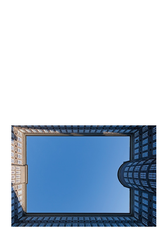